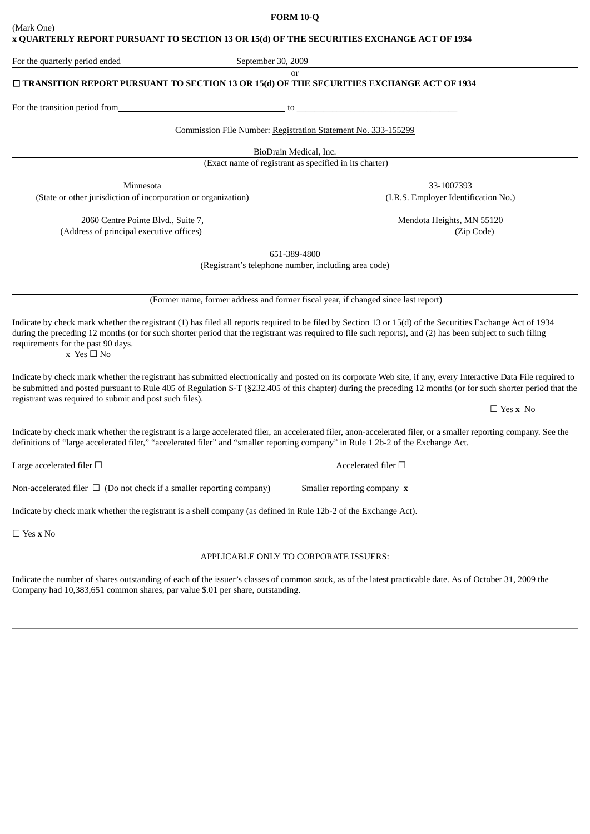|            | <b>FORM 10-Q</b>                                                                          |
|------------|-------------------------------------------------------------------------------------------|
| (Mark One) |                                                                                           |
|            | x QUARTERLY REPORT PURSUANT TO SECTION 13 OR 15(d) OF THE SECURITIES EXCHANGE ACT OF 1934 |
|            |                                                                                           |

For the transition period from the transition period from Commission File Number: Registration Statement No. 333-155299 BioDrain Medical, Inc. (Exact name of registrant as specified in its charter) Minnesota 33-1007393 (State or other jurisdiction of incorporation or organization) (I.R.S. Employer Identification No.) 2060 Centre Pointe Blvd., Suite 7, 2000 Centre Pointe Blvd., Suite 7, 2000 Centre Pointe Blvd., Suite 7, 2000 (Address of principal executive offices) (Zip Code) 651-389-4800

(Registrant's telephone number, including area code)

(Former name, former address and former fiscal year, if changed since last report)

Indicate by check mark whether the registrant (1) has filed all reports required to be filed by Section 13 or 15(d) of the Securities Exchange Act of 1934 during the preceding 12 months (or for such shorter period that the registrant was required to file such reports), and (2) has been subject to such filing requirements for the past 90 days.

 $x \text{ Yes} \square \text{ No}$ 

Indicate by check mark whether the registrant has submitted electronically and posted on its corporate Web site, if any, every Interactive Data File required to be submitted and posted pursuant to Rule 405 of Regulation S-T (§232.405 of this chapter) during the preceding 12 months (or for such shorter period that the registrant was required to submit and post such files).

Indicate by check mark whether the registrant is a large accelerated filer, an accelerated filer, anon-accelerated filer, or a smaller reporting company. See the definitions of "large accelerated filer," "accelerated filer" and "smaller reporting company" in Rule 1 2b-2 of the Exchange Act.

Large accelerated filer □ and  $\Box$  Accelerated filer □ and  $\Box$ 

Non-accelerated filer  $\Box$  (Do not check if a smaller reporting company) Smaller reporting company **x** 

Indicate by check mark whether the registrant is a shell company (as defined in Rule 12b-2 of the Exchange Act).

☐ Yes **x** No

## APPLICABLE ONLY TO CORPORATE ISSUERS:

Indicate the number of shares outstanding of each of the issuer's classes of common stock, as of the latest practicable date. As of October 31, 2009 the Company had 10,383,651 common shares, par value \$.01 per share, outstanding.

☐ Yes **x** No

For the quarterly period ended September 30, 2009

or

☐ **TRANSITION REPORT PURSUANT TO SECTION 13 OR 15(d) OF THE SECURITIES EXCHANGE ACT OF 1934**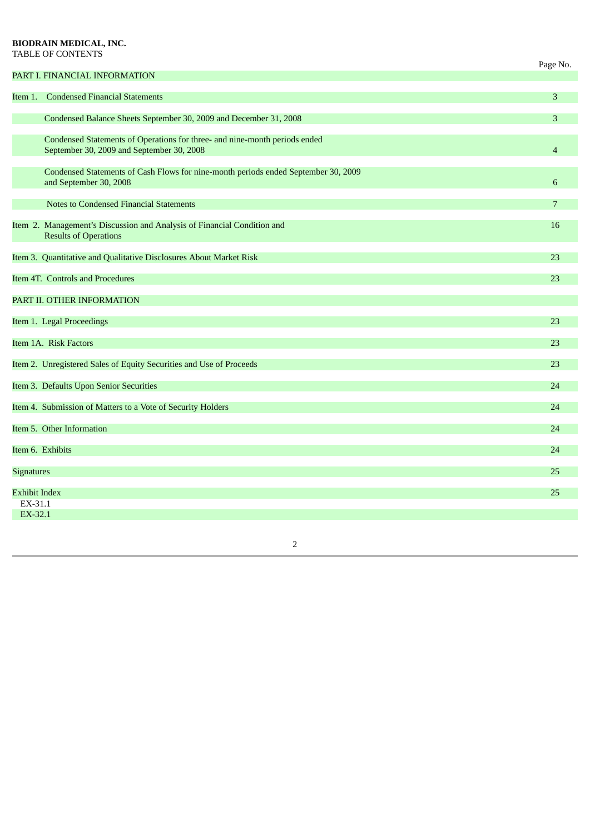# **BIODRAIN MEDICAL, INC.** TABLE OF CONTENTS

|                                            |                                                                                                                         | Page No.       |
|--------------------------------------------|-------------------------------------------------------------------------------------------------------------------------|----------------|
|                                            | PART I. FINANCIAL INFORMATION                                                                                           |                |
| Item 1.                                    | <b>Condensed Financial Statements</b>                                                                                   | 3              |
|                                            | Condensed Balance Sheets September 30, 2009 and December 31, 2008                                                       | 3              |
|                                            | Condensed Statements of Operations for three- and nine-month periods ended<br>September 30, 2009 and September 30, 2008 | $\overline{4}$ |
|                                            | Condensed Statements of Cash Flows for nine-month periods ended September 30, 2009<br>and September 30, 2008            | 6              |
|                                            | <b>Notes to Condensed Financial Statements</b>                                                                          | 7              |
|                                            | Item 2. Management's Discussion and Analysis of Financial Condition and<br><b>Results of Operations</b>                 | 16             |
|                                            | Item 3. Quantitative and Qualitative Disclosures About Market Risk                                                      | 23             |
| Item 4T. Controls and Procedures           |                                                                                                                         | 23             |
|                                            | PART II. OTHER INFORMATION                                                                                              |                |
| Item 1. Legal Proceedings                  |                                                                                                                         | 23             |
| Item 1A. Risk Factors                      |                                                                                                                         | 23             |
|                                            | Item 2. Unregistered Sales of Equity Securities and Use of Proceeds                                                     | 23             |
|                                            | Item 3. Defaults Upon Senior Securities                                                                                 | 24             |
|                                            | Item 4. Submission of Matters to a Vote of Security Holders                                                             | 24             |
| Item 5. Other Information                  |                                                                                                                         | 24             |
| Item 6. Exhibits                           |                                                                                                                         | 24             |
| <b>Signatures</b>                          |                                                                                                                         | 25             |
| <b>Exhibit Index</b><br>EX-31.1<br>EX-32.1 |                                                                                                                         | 25             |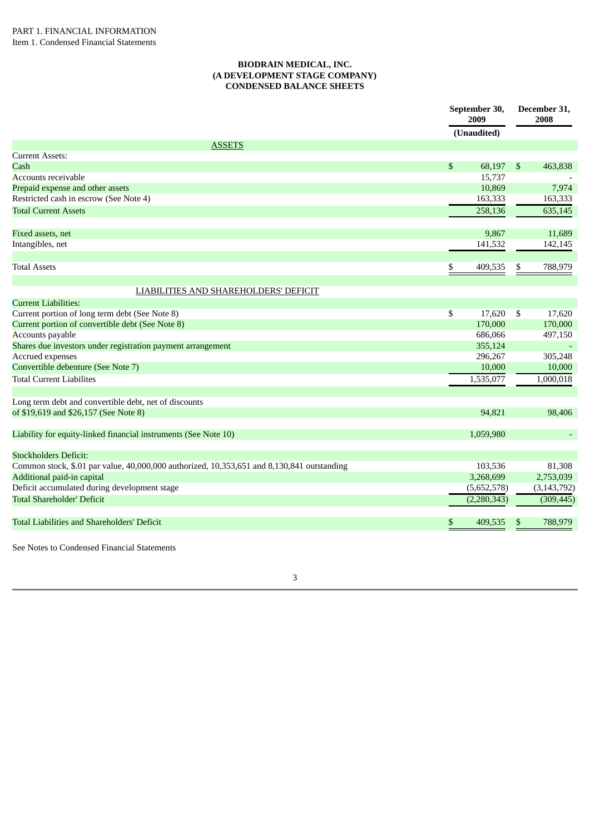## **BIODRAIN MEDICAL, INC. (A DEVELOPMENT STAGE COMPANY) CONDENSED BALANCE SHEETS**

|                                                                                            | September 30,<br>2009 |    | December 31,<br>2008     |
|--------------------------------------------------------------------------------------------|-----------------------|----|--------------------------|
|                                                                                            | (Unaudited)           |    |                          |
| <b>ASSETS</b>                                                                              |                       |    |                          |
| <b>Current Assets:</b>                                                                     |                       |    |                          |
| Cash                                                                                       | \$<br>68,197          | \$ | 463,838                  |
| Accounts receivable                                                                        | 15,737                |    |                          |
| Prepaid expense and other assets                                                           | 10,869                |    | 7,974                    |
| Restricted cash in escrow (See Note 4)                                                     | 163,333               |    | 163,333                  |
| <b>Total Current Assets</b>                                                                | 258,136               |    | 635,145                  |
| Fixed assets, net                                                                          | 9,867                 |    | 11,689                   |
| Intangibles, net                                                                           | 141,532               |    | 142,145                  |
| <b>Total Assets</b>                                                                        | \$<br>409,535         | S  | 788,979                  |
| LIABILITIES AND SHAREHOLDERS' DEFICIT                                                      |                       |    |                          |
| <b>Current Liabilities:</b>                                                                |                       |    |                          |
| Current portion of long term debt (See Note 8)                                             | \$<br>17,620          | \$ | 17,620                   |
| Current portion of convertible debt (See Note 8)                                           | 170,000               |    | 170,000                  |
| Accounts payable                                                                           | 686,066               |    | 497,150                  |
| Shares due investors under registration payment arrangement                                | 355,124               |    | $\overline{\phantom{a}}$ |
| Accrued expenses                                                                           | 296,267               |    | 305,248                  |
| Convertible debenture (See Note 7)                                                         | 10,000                |    | 10,000                   |
| <b>Total Current Liabilites</b>                                                            | 1,535,077             |    | 1,000,018                |
| Long term debt and convertible debt, net of discounts                                      |                       |    |                          |
| of \$19,619 and \$26,157 (See Note 8)                                                      | 94,821                |    | 98,406                   |
| Liability for equity-linked financial instruments (See Note 10)                            | 1,059,980             |    |                          |
| <b>Stockholders Deficit:</b>                                                               |                       |    |                          |
| Common stock, \$.01 par value, 40,000,000 authorized, 10,353,651 and 8,130,841 outstanding | 103,536               |    | 81,308                   |
| Additional paid-in capital                                                                 | 3,268,699             |    | 2,753,039                |
| Deficit accumulated during development stage                                               | (5,652,578)           |    | (3, 143, 792)            |
| <b>Total Shareholder' Deficit</b>                                                          | (2, 280, 343)         |    | (309, 445)               |
| Total Liabilities and Shareholders' Deficit                                                | \$<br>409,535         | \$ | 788,979                  |
|                                                                                            |                       |    |                          |

3

See Notes to Condensed Financial Statements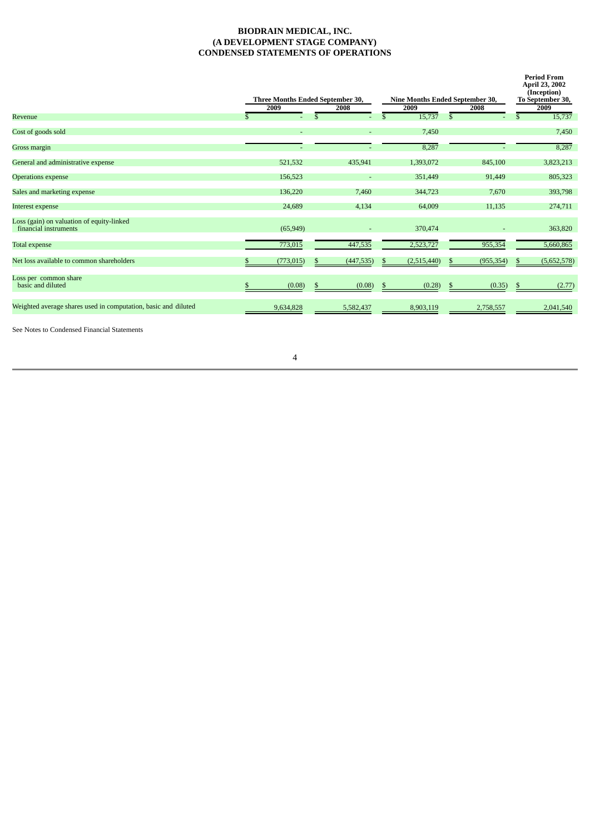# **BIODRAIN MEDICAL, INC. (A DEVELOPMENT STAGE COMPANY) CONDENSED STATEMENTS OF OPERATIONS**

|                                                                    | Three Months Ended September 30, |   |            | Nine Months Ended September 30, |               |            |     | <b>Period From</b><br>April 23, 2002<br>(Inception)<br>To September 30, |
|--------------------------------------------------------------------|----------------------------------|---|------------|---------------------------------|---------------|------------|-----|-------------------------------------------------------------------------|
|                                                                    | 2009                             |   | 2008       | 2009                            |               | 2008       |     | 2009                                                                    |
| Revenue                                                            |                                  |   |            | 15,737                          | $\mathcal{S}$ |            | \$. | 15,737                                                                  |
| Cost of goods sold                                                 |                                  |   | ٠          | 7,450                           |               |            |     | 7,450                                                                   |
| Gross margin                                                       |                                  |   |            | 8,287                           |               |            |     | 8,287                                                                   |
| General and administrative expense                                 | 521,532                          |   | 435,941    | 1,393,072                       |               | 845,100    |     | 3,823,213                                                               |
| <b>Operations expense</b>                                          | 156,523                          |   | ٠          | 351,449                         |               | 91,449     |     | 805,323                                                                 |
| Sales and marketing expense                                        | 136,220                          |   | 7,460      | 344,723                         |               | 7,670      |     | 393,798                                                                 |
| Interest expense                                                   | 24,689                           |   | 4,134      | 64,009                          |               | 11,135     |     | 274,711                                                                 |
| Loss (gain) on valuation of equity-linked<br>financial instruments | (65, 949)                        |   |            | 370,474                         |               |            |     | 363,820                                                                 |
| Total expense                                                      | 773,015                          |   | 447,535    | 2,523,727                       |               | 955,354    |     | 5,660,865                                                               |
| Net loss available to common shareholders                          | (773, 015)                       | S | (447, 535) | (2,515,440)                     |               | (955, 354) |     | (5,652,578)                                                             |
| Loss per common share<br>basic and diluted                         | (0.08)                           |   | (0.08)     | (0.28)                          |               | (0.35)     |     | (2.77)                                                                  |
| Weighted average shares used in computation, basic and diluted     | 9,634,828                        |   | 5,582,437  | 8,903,119                       |               | 2,758,557  |     | 2,041,540                                                               |

See Notes to Condensed Financial Statements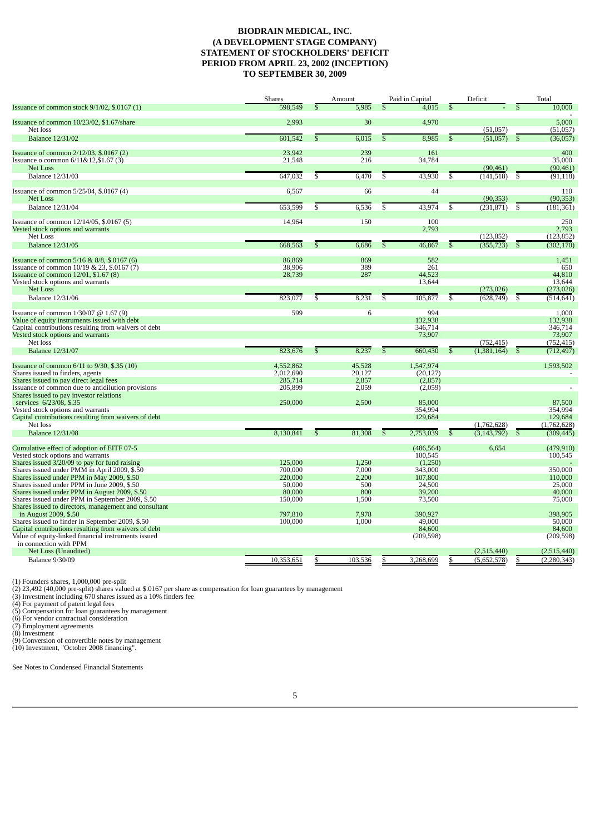# **BIODRAIN MEDICAL, INC. (A DEVELOPMENT STAGE COMPANY) STATEMENT OF STOCKHOLDERS' DEFICIT PERIOD FROM APRIL 23, 2002 (INCEPTION) TO SEPTEMBER 30, 2009**

|                                                                                             | Shares             |                         | Amount         |                         | Paid in Capital   |                         | Deficit       |               | Total             |
|---------------------------------------------------------------------------------------------|--------------------|-------------------------|----------------|-------------------------|-------------------|-------------------------|---------------|---------------|-------------------|
| Issuance of common stock 9/1/02, \$.0167 (1)                                                | 598,549            |                         | 5.985          |                         | 4.015             | £.                      |               |               | 10,000            |
| Issuance of common 10/23/02, \$1.67/share                                                   | 2,993              |                         | 30             |                         | 4,970             |                         |               |               | 5,000             |
| Net loss                                                                                    |                    |                         |                |                         |                   |                         | (51,057)      |               | (51,057)          |
| <b>Balance 12/31/02</b>                                                                     | 601,542            | \$                      | 6,015          | \$                      | 8,985             | \$                      | (51,057)      | <sup>\$</sup> | (36,057)          |
| Issuance of common 2/12/03, \$.0167 (2)                                                     | 23,942             |                         | 239            |                         | 161               |                         |               |               | 400               |
| Issuance o common 6/11&12,\$1.67 (3)                                                        | 21,548             |                         | 216            |                         | 34,784            |                         |               |               | 35,000            |
| Net Loss                                                                                    |                    |                         |                |                         |                   |                         | (90, 461)     |               | (90, 461)         |
| <b>Balance 12/31/03</b>                                                                     | 647,032            | \$                      | 6,470          | $\overline{\mathbb{S}}$ | 43,930            | $\overline{\mathbb{S}}$ | (141, 518)    | \$            | (91, 118)         |
| Issuance of common 5/25/04, \$.0167 (4)                                                     | 6,567              |                         | 66             |                         | 44                |                         |               |               | 110               |
| Net Loss                                                                                    |                    |                         |                |                         |                   |                         | (90, 353)     |               | (90, 353)         |
| <b>Balance 12/31/04</b>                                                                     | 653,599            | \$                      | 6,536          | \$                      | 43,974            | \$                      | (231, 871)    | \$            | (181, 361)        |
|                                                                                             |                    |                         |                |                         |                   |                         |               |               |                   |
| Issuance of common 12/14/05, \$.0167 (5)                                                    | 14,964             |                         | 150            |                         | 100               |                         |               |               | 250               |
| Vested stock options and warrants                                                           |                    |                         |                |                         | 2,793             |                         |               |               | 2,793             |
| Net Loss                                                                                    |                    |                         |                |                         |                   |                         | (123, 852)    |               | (123, 852)        |
| <b>Balance 12/31/05</b>                                                                     | 668,563            | \$                      | 6,686          | \$                      | 46,867            | \$                      | (355, 723)    | -S            | (302, 170)        |
| Issuance of common 5/16 & 8/8, \$.0167 (6)                                                  | 86,869             |                         | 869            |                         | 582               |                         |               |               | 1,451             |
| Issuance of common 10/19 & 23, \$.0167 (7)                                                  | 38,906             |                         | 389            |                         | 261               |                         |               |               | 650               |
| Issuance of common 12/01, \$1.67 (8)                                                        | 28,739             |                         | 287            |                         | 44,523            |                         |               |               | 44,810            |
| Vested stock options and warrants                                                           |                    |                         |                |                         | 13,644            |                         |               |               | 13,644            |
| Net Loss                                                                                    |                    |                         |                |                         |                   |                         | (273, 026)    |               | (273, 026)        |
| <b>Balance 12/31/06</b>                                                                     | 823.077            | \$                      | 8,231          | \$                      | 105,877           | \$                      | (628, 749)    | -S            | (514, 641)        |
| Issuance of common $1/30/07$ @ $1.67$ (9)                                                   | 599                |                         | 6              |                         | 994               |                         |               |               | 1,000             |
| Value of equity instruments issued with debt                                                |                    |                         |                |                         | 132,938           |                         |               |               | 132,938           |
| Capital contributions resulting from waivers of debt                                        |                    |                         |                |                         | 346,714           |                         |               |               | 346,714           |
| Vested stock options and warrants                                                           |                    |                         |                |                         | 73,907            |                         |               |               | 73,907            |
| Net loss                                                                                    |                    |                         |                |                         |                   |                         | (752, 415)    |               | (752, 415)        |
| <b>Balance 12/31/07</b>                                                                     | 823.676            | $\overline{\mathbb{S}}$ | 8,237          | $\overline{\mathbb{S}}$ | 660,430           | $\mathbb{S}$            | (1.381.164)   |               | (712, 497)        |
|                                                                                             |                    |                         |                |                         |                   |                         |               |               |                   |
| Issuance of common 6/11 to 9/30, \$.35 (10)                                                 | 4,552,862          |                         | 45,528         |                         | 1,547,974         |                         |               |               | 1,593,502         |
| Shares issued to finders, agents                                                            | 2,012,690          |                         | 20,127         |                         | (20, 127)         |                         |               |               |                   |
| Shares issued to pay direct legal fees<br>Issuance of common due to antidilution provisions | 285,714<br>205,899 |                         | 2,857<br>2,059 |                         | (2,857)           |                         |               |               |                   |
| Shares issued to pay investor relations                                                     |                    |                         |                |                         | (2,059)           |                         |               |               |                   |
| services 6/23/08, \$.35                                                                     | 250,000            |                         | 2,500          |                         | 85,000            |                         |               |               | 87,500            |
| Vested stock options and warrants                                                           |                    |                         |                |                         | 354,994           |                         |               |               | 354,994           |
| Capital contributions resulting from waivers of debt                                        |                    |                         |                |                         | 129,684           |                         |               |               | 129,684           |
| Net loss                                                                                    |                    |                         |                |                         |                   |                         | (1,762,628)   |               | (1,762,628)       |
| <b>Balance 12/31/08</b>                                                                     | 8,130,841          | \$                      | 81,308         | \$                      | 2,753,039         | \$                      | (3, 143, 792) | .S            | (309, 445)        |
| Cumulative effect of adoption of EITF 07-5                                                  |                    |                         |                |                         | (486, 564)        |                         | 6,654         |               | (479, 910)        |
| Vested stock options and warrants                                                           |                    |                         |                |                         | 100,545           |                         |               |               | 100,545           |
| Shares issued 3/20/09 to pay for fund raising                                               | 125,000            |                         | 1,250          |                         | (1,250)           |                         |               |               |                   |
| Shares issued under PMM in April 2009, \$.50                                                | 700,000            |                         | 7.000          |                         | 343,000           |                         |               |               | 350,000           |
| Shares issued under PPM in May 2009, \$.50                                                  | 220,000            |                         | 2,200          |                         | 107,800           |                         |               |               | 110,000           |
| Shares issued under PPM in June 2009, \$.50                                                 | 50,000             |                         | 500            |                         | 24,500            |                         |               |               | 25,000            |
| Shares issued under PPM in August 2009, \$.50                                               | 80,000             |                         | 800            |                         | 39,200            |                         |               |               | 40,000            |
| Shares issued under PPM in September 2009, \$.50                                            | 150,000            |                         | 1,500          |                         | 73,500            |                         |               |               | 75,000            |
| Shares issued to directors, management and consultant                                       |                    |                         |                |                         |                   |                         |               |               |                   |
| in August 2009, \$.50<br>Shares issued to finder in September 2009, \$.50                   | 797,810<br>100,000 |                         | 7,978<br>1,000 |                         | 390,927<br>49,000 |                         |               |               | 398,905<br>50,000 |
| Capital contributions resulting from waivers of debt                                        |                    |                         |                |                         | 84,600            |                         |               |               | 84,600            |
| Value of equity-linked financial instruments issued                                         |                    |                         |                |                         | (209, 598)        |                         |               |               | (209, 598)        |
| in connection with PPM                                                                      |                    |                         |                |                         |                   |                         |               |               |                   |
| Net Loss (Unaudited)                                                                        |                    |                         |                |                         |                   |                         | (2,515,440)   |               | (2,515,440)       |
| <b>Balance 9/30/09</b>                                                                      | 10,353,651         |                         | 103,536        |                         | 3,268,699         |                         | (5,652,578)   | S             | (2, 280, 343)     |
|                                                                                             |                    |                         |                |                         |                   |                         |               |               |                   |

(1) Founders shares, 1,000,000 pre-split<br>(2) 23,492 (40,000 pre-split) shares valued at \$.0167 per share as compensation for loan guarantees by management<br>(3) Investment including 670 shares issued as a 10% finders fee<br>(4)

(9) Conversion of convertible notes by management (10) Investment, "October 2008 financing".

See Notes to Condensed Financial Statements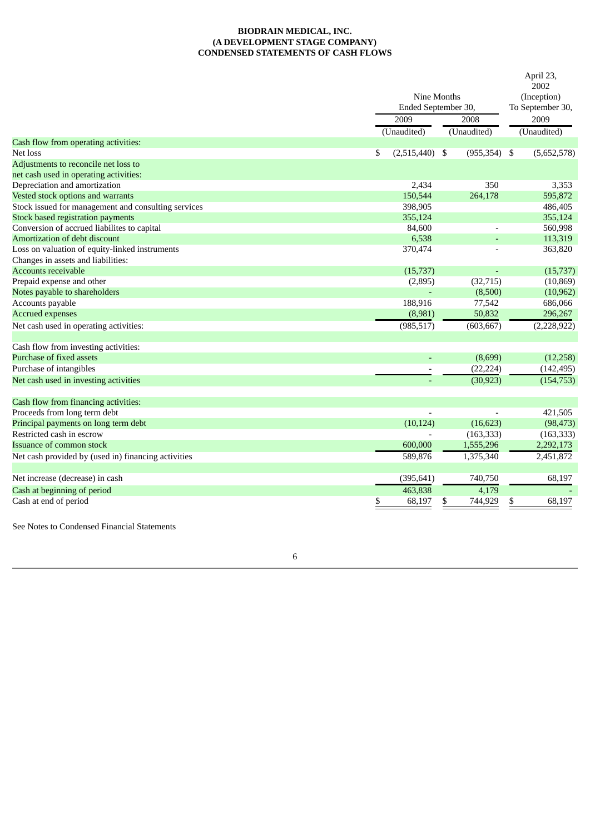# **BIODRAIN MEDICAL, INC. (A DEVELOPMENT STAGE COMPANY) CONDENSED STATEMENTS OF CASH FLOWS**

|                                                     |                        |                 | April 23,<br>2002 |
|-----------------------------------------------------|------------------------|-----------------|-------------------|
|                                                     | Nine Months            |                 | (Inception)       |
|                                                     | Ended September 30,    |                 | To September 30,  |
|                                                     | 2009                   | 2008            | 2009              |
|                                                     | (Unaudited)            | (Unaudited)     | (Unaudited)       |
| Cash flow from operating activities:                |                        |                 |                   |
| Net loss                                            | \$<br>$(2,515,440)$ \$ | $(955, 354)$ \$ | (5,652,578)       |
| Adjustments to reconcile net loss to                |                        |                 |                   |
| net cash used in operating activities:              |                        |                 |                   |
| Depreciation and amortization                       | 2,434                  | 350             | 3,353             |
| Vested stock options and warrants                   | 150,544                | 264,178         | 595,872           |
| Stock issued for management and consulting services | 398,905                |                 | 486,405           |
| <b>Stock based registration payments</b>            | 355,124                |                 | 355,124           |
| Conversion of accrued liabilites to capital         | 84,600                 |                 | 560,998           |
| Amortization of debt discount                       | 6,538                  |                 | 113,319           |
| Loss on valuation of equity-linked instruments      | 370,474                |                 | 363,820           |
| Changes in assets and liabilities:                  |                        |                 |                   |
| <b>Accounts receivable</b>                          | (15,737)               |                 | (15, 737)         |
| Prepaid expense and other                           | (2,895)                | (32, 715)       | (10, 869)         |
| Notes payable to shareholders                       |                        | (8,500)         | (10, 962)         |
| Accounts payable                                    | 188,916                | 77,542          | 686,066           |
| <b>Accrued expenses</b>                             | (8,981)                | 50,832          | 296,267           |
| Net cash used in operating activities:              | (985, 517)             | (603, 667)      | (2,228,922)       |
|                                                     |                        |                 |                   |
| Cash flow from investing activities:                |                        |                 |                   |
| Purchase of fixed assets                            |                        | (8,699)         | (12,258)          |
| Purchase of intangibles                             |                        | (22, 224)       | (142, 495)        |
| Net cash used in investing activities               |                        | (30, 923)       | (154, 753)        |
|                                                     |                        |                 |                   |
| Cash flow from financing activities:                |                        |                 |                   |
| Proceeds from long term debt                        |                        |                 | 421,505           |
| Principal payments on long term debt                | (10, 124)              | (16, 623)       | (98, 473)         |
| Restricted cash in escrow                           |                        | (163, 333)      | (163, 333)        |
| Issuance of common stock                            | 600,000                | 1,555,296       | 2,292,173         |
| Net cash provided by (used in) financing activities | 589,876                | 1,375,340       | 2,451,872         |
| Net increase (decrease) in cash                     | (395, 641)             | 740,750         | 68,197            |
| Cash at beginning of period                         | 463,838                | 4,179           |                   |
| Cash at end of period                               | \$<br>68,197           | 744,929<br>\$   | 68,197<br>\$      |
|                                                     |                        |                 |                   |

See Notes to Condensed Financial Statements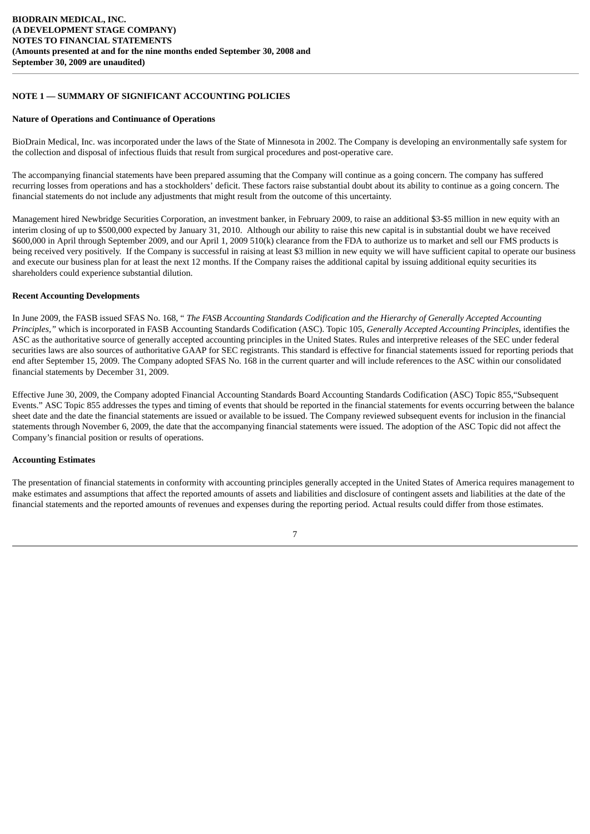# **NOTE 1 — SUMMARY OF SIGNIFICANT ACCOUNTING POLICIES**

#### **Nature of Operations and Continuance of Operations**

BioDrain Medical, Inc. was incorporated under the laws of the State of Minnesota in 2002. The Company is developing an environmentally safe system for the collection and disposal of infectious fluids that result from surgical procedures and post-operative care.

The accompanying financial statements have been prepared assuming that the Company will continue as a going concern. The company has suffered recurring losses from operations and has a stockholders' deficit. These factors raise substantial doubt about its ability to continue as a going concern. The financial statements do not include any adjustments that might result from the outcome of this uncertainty.

Management hired Newbridge Securities Corporation, an investment banker, in February 2009, to raise an additional \$3-\$5 million in new equity with an interim closing of up to \$500,000 expected by January 31, 2010. Although our ability to raise this new capital is in substantial doubt we have received \$600,000 in April through September 2009, and our April 1, 2009 510(k) clearance from the FDA to authorize us to market and sell our FMS products is being received very positively. If the Company is successful in raising at least \$3 million in new equity we will have sufficient capital to operate our business and execute our business plan for at least the next 12 months. If the Company raises the additional capital by issuing additional equity securities its shareholders could experience substantial dilution.

#### **Recent Accounting Developments**

In June 2009, the FASB issued SFAS No. 168, " *The FASB Accounting Standards Codification and the Hierarchy of Generally Accepted Accounting Principles,"* which is incorporated in FASB Accounting Standards Codification (ASC). Topic 105, *Generally Accepted Accounting Principles*, identifies the ASC as the authoritative source of generally accepted accounting principles in the United States. Rules and interpretive releases of the SEC under federal securities laws are also sources of authoritative GAAP for SEC registrants. This standard is effective for financial statements issued for reporting periods that end after September 15, 2009. The Company adopted SFAS No. 168 in the current quarter and will include references to the ASC within our consolidated financial statements by December 31, 2009.

Effective June 30, 2009, the Company adopted Financial Accounting Standards Board Accounting Standards Codification (ASC) Topic 855,"Subsequent Events." ASC Topic 855 addresses the types and timing of events that should be reported in the financial statements for events occurring between the balance sheet date and the date the financial statements are issued or available to be issued. The Company reviewed subsequent events for inclusion in the financial statements through November 6, 2009, the date that the accompanying financial statements were issued. The adoption of the ASC Topic did not affect the Company's financial position or results of operations.

## **Accounting Estimates**

The presentation of financial statements in conformity with accounting principles generally accepted in the United States of America requires management to make estimates and assumptions that affect the reported amounts of assets and liabilities and disclosure of contingent assets and liabilities at the date of the financial statements and the reported amounts of revenues and expenses during the reporting period. Actual results could differ from those estimates.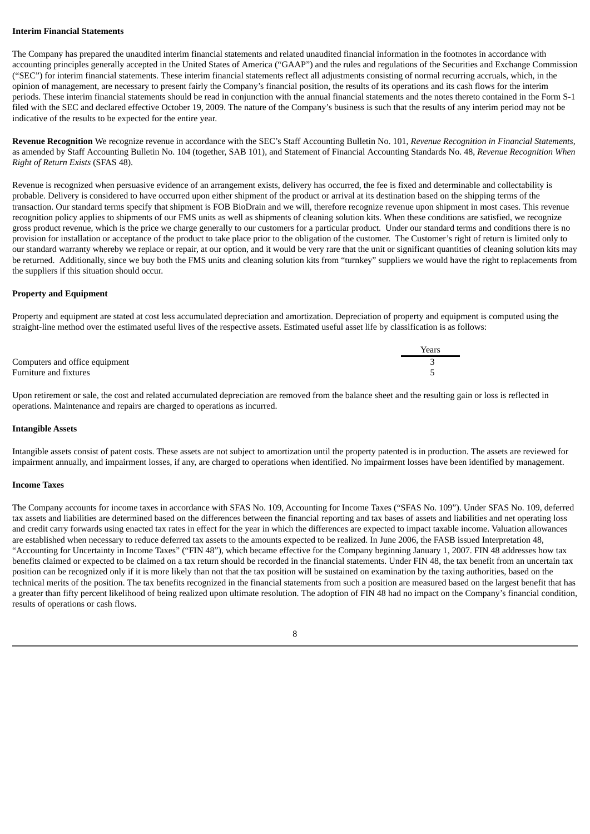#### **Interim Financial Statements**

The Company has prepared the unaudited interim financial statements and related unaudited financial information in the footnotes in accordance with accounting principles generally accepted in the United States of America ("GAAP") and the rules and regulations of the Securities and Exchange Commission ("SEC") for interim financial statements. These interim financial statements reflect all adjustments consisting of normal recurring accruals, which, in the opinion of management, are necessary to present fairly the Company's financial position, the results of its operations and its cash flows for the interim periods. These interim financial statements should be read in conjunction with the annual financial statements and the notes thereto contained in the Form S-1 filed with the SEC and declared effective October 19, 2009. The nature of the Company's business is such that the results of any interim period may not be indicative of the results to be expected for the entire year.

**Revenue Recognition** We recognize revenue in accordance with the SEC's Staff Accounting Bulletin No. 101, *Revenue Recognition in Financial Statements*, as amended by Staff Accounting Bulletin No. 104 (together, SAB 101), and Statement of Financial Accounting Standards No. 48, *Revenue Recognition When Right of Return Exists* (SFAS 48).

Revenue is recognized when persuasive evidence of an arrangement exists, delivery has occurred, the fee is fixed and determinable and collectability is probable. Delivery is considered to have occurred upon either shipment of the product or arrival at its destination based on the shipping terms of the transaction. Our standard terms specify that shipment is FOB BioDrain and we will, therefore recognize revenue upon shipment in most cases. This revenue recognition policy applies to shipments of our FMS units as well as shipments of cleaning solution kits. When these conditions are satisfied, we recognize gross product revenue, which is the price we charge generally to our customers for a particular product. Under our standard terms and conditions there is no provision for installation or acceptance of the product to take place prior to the obligation of the customer. The Customer's right of return is limited only to our standard warranty whereby we replace or repair, at our option, and it would be very rare that the unit or significant quantities of cleaning solution kits may be returned. Additionally, since we buy both the FMS units and cleaning solution kits from "turnkey" suppliers we would have the right to replacements from the suppliers if this situation should occur.

#### **Property and Equipment**

Property and equipment are stated at cost less accumulated depreciation and amortization. Depreciation of property and equipment is computed using the straight-line method over the estimated useful lives of the respective assets. Estimated useful asset life by classification is as follows:

|                                | Years |
|--------------------------------|-------|
| Computers and office equipment |       |
| Furniture and fixtures         |       |

Upon retirement or sale, the cost and related accumulated depreciation are removed from the balance sheet and the resulting gain or loss is reflected in operations. Maintenance and repairs are charged to operations as incurred.

#### **Intangible Assets**

Intangible assets consist of patent costs. These assets are not subject to amortization until the property patented is in production. The assets are reviewed for impairment annually, and impairment losses, if any, are charged to operations when identified. No impairment losses have been identified by management.

#### **Income Taxes**

The Company accounts for income taxes in accordance with SFAS No. 109, Accounting for Income Taxes ("SFAS No. 109"). Under SFAS No. 109, deferred tax assets and liabilities are determined based on the differences between the financial reporting and tax bases of assets and liabilities and net operating loss and credit carry forwards using enacted tax rates in effect for the year in which the differences are expected to impact taxable income. Valuation allowances are established when necessary to reduce deferred tax assets to the amounts expected to be realized. In June 2006, the FASB issued Interpretation 48, "Accounting for Uncertainty in Income Taxes" ("FIN 48"), which became effective for the Company beginning January 1, 2007. FIN 48 addresses how tax benefits claimed or expected to be claimed on a tax return should be recorded in the financial statements. Under FIN 48, the tax benefit from an uncertain tax position can be recognized only if it is more likely than not that the tax position will be sustained on examination by the taxing authorities, based on the technical merits of the position. The tax benefits recognized in the financial statements from such a position are measured based on the largest benefit that has a greater than fifty percent likelihood of being realized upon ultimate resolution. The adoption of FIN 48 had no impact on the Company's financial condition, results of operations or cash flows.

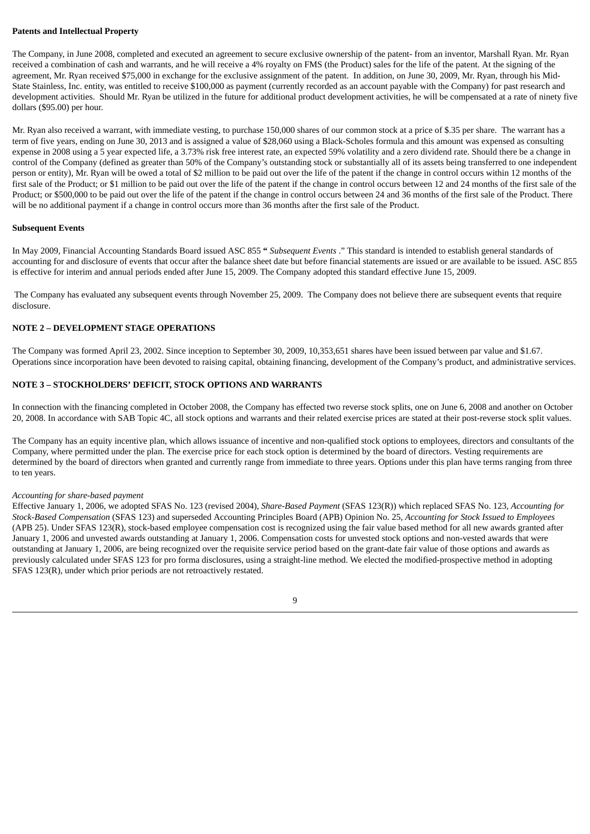# **Patents and Intellectual Property**

The Company, in June 2008, completed and executed an agreement to secure exclusive ownership of the patent- from an inventor, Marshall Ryan. Mr. Ryan received a combination of cash and warrants, and he will receive a 4% royalty on FMS (the Product) sales for the life of the patent. At the signing of the agreement, Mr. Ryan received \$75,000 in exchange for the exclusive assignment of the patent. In addition, on June 30, 2009, Mr. Ryan, through his Mid-State Stainless, Inc. entity, was entitled to receive \$100,000 as payment (currently recorded as an account payable with the Company) for past research and development activities. Should Mr. Ryan be utilized in the future for additional product development activities, he will be compensated at a rate of ninety five dollars (\$95.00) per hour.

Mr. Ryan also received a warrant, with immediate vesting, to purchase 150,000 shares of our common stock at a price of \$.35 per share. The warrant has a term of five years, ending on June 30, 2013 and is assigned a value of \$28,060 using a Black-Scholes formula and this amount was expensed as consulting expense in 2008 using a 5 year expected life, a 3.73% risk free interest rate, an expected 59% volatility and a zero dividend rate. Should there be a change in control of the Company (defined as greater than 50% of the Company's outstanding stock or substantially all of its assets being transferred to one independent person or entity), Mr. Ryan will be owed a total of \$2 million to be paid out over the life of the patent if the change in control occurs within 12 months of the first sale of the Product; or \$1 million to be paid out over the life of the patent if the change in control occurs between 12 and 24 months of the first sale of the Product; or \$500,000 to be paid out over the life of the patent if the change in control occurs between 24 and 36 months of the first sale of the Product. There will be no additional payment if a change in control occurs more than 36 months after the first sale of the Product.

#### **Subsequent Events**

In May 2009, Financial Accounting Standards Board issued ASC 855 **"** *Subsequent Events* ." This standard is intended to establish general standards of accounting for and disclosure of events that occur after the balance sheet date but before financial statements are issued or are available to be issued. ASC 855 is effective for interim and annual periods ended after June 15, 2009. The Company adopted this standard effective June 15, 2009.

The Company has evaluated any subsequent events through November 25, 2009. The Company does not believe there are subsequent events that require disclosure.

#### **NOTE 2 – DEVELOPMENT STAGE OPERATIONS**

The Company was formed April 23, 2002. Since inception to September 30, 2009, 10,353,651 shares have been issued between par value and \$1.67. Operations since incorporation have been devoted to raising capital, obtaining financing, development of the Company's product, and administrative services.

# **NOTE 3 – STOCKHOLDERS' DEFICIT, STOCK OPTIONS AND WARRANTS**

In connection with the financing completed in October 2008, the Company has effected two reverse stock splits, one on June 6, 2008 and another on October 20, 2008. In accordance with SAB Topic 4C, all stock options and warrants and their related exercise prices are stated at their post-reverse stock split values.

The Company has an equity incentive plan, which allows issuance of incentive and non-qualified stock options to employees, directors and consultants of the Company, where permitted under the plan. The exercise price for each stock option is determined by the board of directors. Vesting requirements are determined by the board of directors when granted and currently range from immediate to three years. Options under this plan have terms ranging from three to ten years.

#### *Accounting for share-based payment*

Effective January 1, 2006, we adopted SFAS No. 123 (revised 2004), *Share-Based Payment* (SFAS 123(R)) which replaced SFAS No. 123, *Accounting for Stock-Based Compensation* (SFAS 123) and superseded Accounting Principles Board (APB) Opinion No. 25, *Accounting for Stock Issued to Employees* (APB 25). Under SFAS 123(R), stock-based employee compensation cost is recognized using the fair value based method for all new awards granted after January 1, 2006 and unvested awards outstanding at January 1, 2006. Compensation costs for unvested stock options and non-vested awards that were outstanding at January 1, 2006, are being recognized over the requisite service period based on the grant-date fair value of those options and awards as previously calculated under SFAS 123 for pro forma disclosures, using a straight-line method. We elected the modified-prospective method in adopting SFAS 123(R), under which prior periods are not retroactively restated.

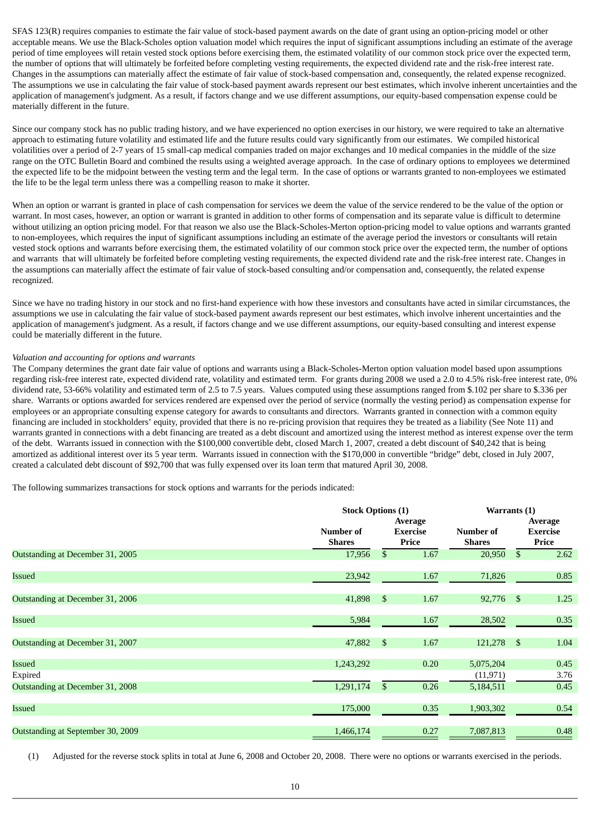SFAS 123(R) requires companies to estimate the fair value of stock-based payment awards on the date of grant using an option-pricing model or other acceptable means. We use the Black-Scholes option valuation model which requires the input of significant assumptions including an estimate of the average period of time employees will retain vested stock options before exercising them, the estimated volatility of our common stock price over the expected term, the number of options that will ultimately be forfeited before completing vesting requirements, the expected dividend rate and the risk-free interest rate. Changes in the assumptions can materially affect the estimate of fair value of stock-based compensation and, consequently, the related expense recognized. The assumptions we use in calculating the fair value of stock-based payment awards represent our best estimates, which involve inherent uncertainties and the application of management's judgment. As a result, if factors change and we use different assumptions, our equity-based compensation expense could be materially different in the future.

Since our company stock has no public trading history, and we have experienced no option exercises in our history, we were required to take an alternative approach to estimating future volatility and estimated life and the future results could vary significantly from our estimates. We compiled historical volatilities over a period of 2-7 years of 15 small-cap medical companies traded on major exchanges and 10 medical companies in the middle of the size range on the OTC Bulletin Board and combined the results using a weighted average approach. In the case of ordinary options to employees we determined the expected life to be the midpoint between the vesting term and the legal term. In the case of options or warrants granted to non-employees we estimated the life to be the legal term unless there was a compelling reason to make it shorter.

When an option or warrant is granted in place of cash compensation for services we deem the value of the service rendered to be the value of the option or warrant. In most cases, however, an option or warrant is granted in addition to other forms of compensation and its separate value is difficult to determine without utilizing an option pricing model. For that reason we also use the Black-Scholes-Merton option-pricing model to value options and warrants granted to non-employees, which requires the input of significant assumptions including an estimate of the average period the investors or consultants will retain vested stock options and warrants before exercising them, the estimated volatility of our common stock price over the expected term, the number of options and warrants that will ultimately be forfeited before completing vesting requirements, the expected dividend rate and the risk-free interest rate. Changes in the assumptions can materially affect the estimate of fair value of stock-based consulting and/or compensation and, consequently, the related expense recognized.

Since we have no trading history in our stock and no first-hand experience with how these investors and consultants have acted in similar circumstances, the assumptions we use in calculating the fair value of stock-based payment awards represent our best estimates, which involve inherent uncertainties and the application of management's judgment. As a result, if factors change and we use different assumptions, our equity-based consulting and interest expense could be materially different in the future.

## *Valuation and accounting for options and warrants*

The Company determines the grant date fair value of options and warrants using a Black-Scholes-Merton option valuation model based upon assumptions regarding risk-free interest rate, expected dividend rate, volatility and estimated term. For grants during 2008 we used a 2.0 to 4.5% risk-free interest rate, 0% dividend rate, 53-66% volatility and estimated term of 2.5 to 7.5 years. Values computed using these assumptions ranged from \$.102 per share to \$.336 per share. Warrants or options awarded for services rendered are expensed over the period of service (normally the vesting period) as compensation expense for employees or an appropriate consulting expense category for awards to consultants and directors. Warrants granted in connection with a common equity financing are included in stockholders' equity, provided that there is no re-pricing provision that requires they be treated as a liability (See Note 11) and warrants granted in connections with a debt financing are treated as a debt discount and amortized using the interest method as interest expense over the term of the debt. Warrants issued in connection with the \$100,000 convertible debt, closed March 1, 2007, created a debt discount of \$40,242 that is being amortized as additional interest over its 5 year term. Warrants issued in connection with the \$170,000 in convertible "bridge" debt, closed in July 2007, created a calculated debt discount of \$92,700 that was fully expensed over its loan term that matured April 30, 2008.

The following summarizes transactions for stock options and warrants for the periods indicated:

|                                   |               | <b>Stock Options (1)</b> |                 |               | Warrants (1)   |                 |  |  |
|-----------------------------------|---------------|--------------------------|-----------------|---------------|----------------|-----------------|--|--|
|                                   |               |                          | Average         |               |                | Average         |  |  |
|                                   | Number of     |                          | <b>Exercise</b> | Number of     |                | <b>Exercise</b> |  |  |
|                                   | <b>Shares</b> |                          | Price           | <b>Shares</b> |                | Price           |  |  |
| Outstanding at December 31, 2005  | 17,956        | \$                       | 1.67            | 20,950        | \$             | 2.62            |  |  |
| Issued                            | 23,942        |                          | 1.67            | 71,826        |                | 0.85            |  |  |
|                                   |               |                          |                 |               |                |                 |  |  |
| Outstanding at December 31, 2006  | 41,898        | $\mathbb{S}$             | 1.67            | 92,776        | - \$           | 1.25            |  |  |
| <b>Issued</b>                     | 5,984         |                          | 1.67            | 28,502        |                | 0.35            |  |  |
|                                   |               |                          |                 |               |                |                 |  |  |
| Outstanding at December 31, 2007  | 47,882        | $\mathfrak{S}$           | 1.67            | 121,278       | $\mathfrak{F}$ | 1.04            |  |  |
| Issued                            | 1,243,292     |                          | 0.20            | 5,075,204     |                | 0.45            |  |  |
| Expired                           |               |                          |                 | (11, 971)     |                | 3.76            |  |  |
| Outstanding at December 31, 2008  | 1,291,174     | $\mathbb{S}$             | 0.26            | 5,184,511     |                | 0.45            |  |  |
|                                   |               |                          |                 |               |                |                 |  |  |
| <b>Issued</b>                     | 175,000       |                          | 0.35            | 1,903,302     |                | 0.54            |  |  |
| Outstanding at September 30, 2009 | 1,466,174     |                          | 0.27            | 7,087,813     |                | 0.48            |  |  |
|                                   |               |                          |                 |               |                |                 |  |  |

(1) Adjusted for the reverse stock splits in total at June 6, 2008 and October 20, 2008. There were no options or warrants exercised in the periods.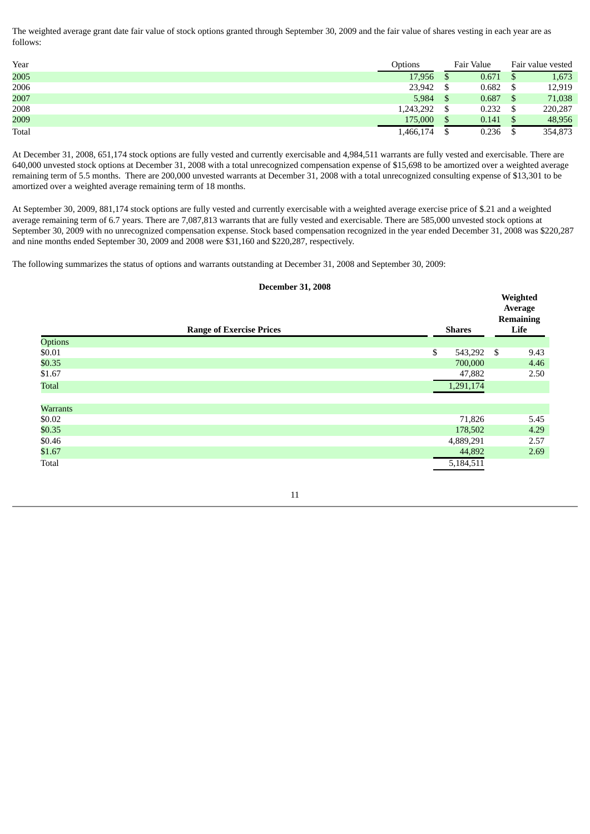The weighted average grant date fair value of stock options granted through September 30, 2009 and the fair value of shares vesting in each year are as follows:

| Year  | Options   | Fair Value | Fair value vested |
|-------|-----------|------------|-------------------|
| 2005  | 17,956    | 0.671      | 1,673             |
| 2006  | 23,942    | 0.682      | 12,919            |
| 2007  | 5,984     | 0.687      | 71,038            |
| 2008  | 1,243,292 | 0.232      | 220,287           |
| 2009  | 175,000   | 0.141      | 48,956            |
| Total | L.466,174 | 0.236      | 354,873           |

At December 31, 2008, 651,174 stock options are fully vested and currently exercisable and 4,984,511 warrants are fully vested and exercisable. There are 640,000 unvested stock options at December 31, 2008 with a total unrecognized compensation expense of \$15,698 to be amortized over a weighted average remaining term of 5.5 months. There are 200,000 unvested warrants at December 31, 2008 with a total unrecognized consulting expense of \$13,301 to be amortized over a weighted average remaining term of 18 months.

At September 30, 2009, 881,174 stock options are fully vested and currently exercisable with a weighted average exercise price of \$.21 and a weighted average remaining term of 6.7 years. There are 7,087,813 warrants that are fully vested and exercisable. There are 585,000 unvested stock options at September 30, 2009 with no unrecognized compensation expense. Stock based compensation recognized in the year ended December 31, 2008 was \$220,287 and nine months ended September 30, 2009 and 2008 were \$31,160 and \$220,287, respectively.

The following summarizes the status of options and warrants outstanding at December 31, 2008 and September 30, 2009:

# **December 31, 2008**

**Weighted**

|                 | <b>Range of Exercise Prices</b> | <b>Shares</b> | 1.05<br>Average<br><b>Remaining</b><br>Life |
|-----------------|---------------------------------|---------------|---------------------------------------------|
| Options         |                                 |               |                                             |
| \$0.01          |                                 | \$<br>543,292 | \$<br>9.43                                  |
| \$0.35          |                                 | 700,000       | 4.46                                        |
| \$1.67          |                                 | 47,882        | 2.50                                        |
| Total           |                                 | 1,291,174     |                                             |
|                 |                                 |               |                                             |
| <b>Warrants</b> |                                 |               |                                             |
| \$0.02          |                                 | 71,826        | 5.45                                        |
| \$0.35          |                                 | 178,502       | 4.29                                        |
| \$0.46          |                                 | 4,889,291     | 2.57                                        |
| \$1.67          |                                 | 44,892        | 2.69                                        |
| Total           |                                 | 5,184,511     |                                             |

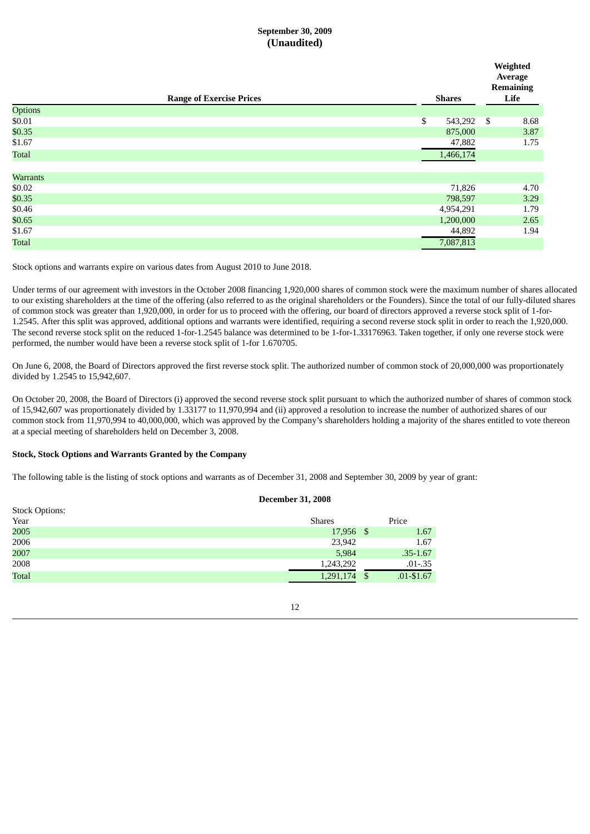# **September 30, 2009 (Unaudited)**

|                 |                                 |               |      | Weighted<br>Average<br><b>Remaining</b> |
|-----------------|---------------------------------|---------------|------|-----------------------------------------|
|                 | <b>Range of Exercise Prices</b> | <b>Shares</b> |      | Life                                    |
| Options         |                                 |               |      |                                         |
| \$0.01          |                                 | \$<br>543,292 | $\$$ | 8.68                                    |
| \$0.35          |                                 | 875,000       |      | 3.87                                    |
| \$1.67          |                                 | 47,882        |      | 1.75                                    |
| Total           |                                 | 1,466,174     |      |                                         |
|                 |                                 |               |      |                                         |
| <b>Warrants</b> |                                 |               |      |                                         |
| \$0.02          |                                 | 71,826        |      | 4.70                                    |
| \$0.35          |                                 | 798,597       |      | 3.29                                    |
| \$0.46          |                                 | 4,954,291     |      | 1.79                                    |
| \$0.65          |                                 | 1,200,000     |      | 2.65                                    |
| \$1.67          |                                 | 44,892        |      | 1.94                                    |
| <b>Total</b>    |                                 | 7,087,813     |      |                                         |
|                 |                                 |               |      |                                         |

Stock options and warrants expire on various dates from August 2010 to June 2018.

Under terms of our agreement with investors in the October 2008 financing 1,920,000 shares of common stock were the maximum number of shares allocated to our existing shareholders at the time of the offering (also referred to as the original shareholders or the Founders). Since the total of our fully-diluted shares of common stock was greater than 1,920,000, in order for us to proceed with the offering, our board of directors approved a reverse stock split of 1-for-1.2545. After this split was approved, additional options and warrants were identified, requiring a second reverse stock split in order to reach the 1,920,000. The second reverse stock split on the reduced 1-for-1.2545 balance was determined to be 1-for-1.33176963. Taken together, if only one reverse stock were performed, the number would have been a reverse stock split of 1-for 1.670705.

On June 6, 2008, the Board of Directors approved the first reverse stock split. The authorized number of common stock of 20,000,000 was proportionately divided by 1.2545 to 15,942,607.

On October 20, 2008, the Board of Directors (i) approved the second reverse stock split pursuant to which the authorized number of shares of common stock of 15,942,607 was proportionately divided by 1.33177 to 11,970,994 and (ii) approved a resolution to increase the number of authorized shares of our common stock from 11,970,994 to 40,000,000, which was approved by the Company's shareholders holding a majority of the shares entitled to vote thereon at a special meeting of shareholders held on December 3, 2008.

**December 31, 2008**

## **Stock, Stock Options and Warrants Granted by the Company**

The following table is the listing of stock options and warrants as of December 31, 2008 and September 30, 2009 by year of grant:

|                       | <b>December 31, 2008</b> |     |               |
|-----------------------|--------------------------|-----|---------------|
| <b>Stock Options:</b> |                          |     |               |
| Year                  | <b>Shares</b>            |     | Price         |
| 2005                  | 17,956 \$                |     | 1.67          |
| 2006                  | 23,942                   |     | 1.67          |
| 2007                  | 5,984                    |     | $.35 - 1.67$  |
| 2008                  | 1,243,292                |     | $.01 - .35$   |
| <b>Total</b>          | 1,291,174                | -\$ | $.01 - $1.67$ |
|                       |                          |     |               |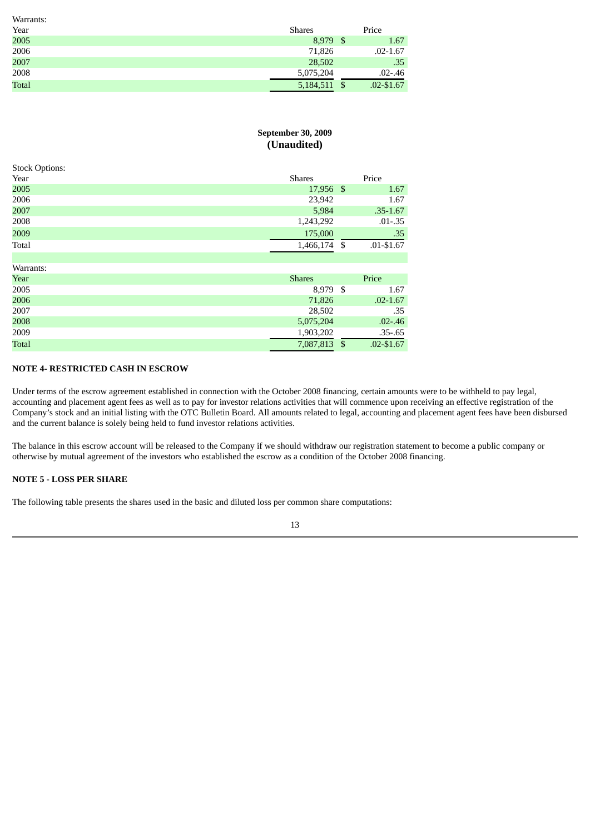| Warrants:    |               |     |               |
|--------------|---------------|-----|---------------|
| Year         | <b>Shares</b> |     | Price         |
| 2005         | 8,979         | -\$ | 1.67          |
| 2006         | 71,826        |     | $.02 - 1.67$  |
| 2007         | 28,502        |     | .35           |
| 2008         | 5,075,204     |     | $.02 - .46$   |
| <b>Total</b> | 5,184,511     | -S  | $.02 - $1.67$ |

# **September 30, 2009 (Unaudited)**

| <b>SLOCK OPHOILS:</b> |               |              |               |
|-----------------------|---------------|--------------|---------------|
| Year                  | <b>Shares</b> |              | Price         |
| 2005                  | 17,956 \$     |              | 1.67          |
| 2006                  | 23,942        |              | 1.67          |
| 2007                  | 5,984         |              | $.35 - 1.67$  |
| 2008                  | 1,243,292     |              | $.01 - .35$   |
| 2009                  | 175,000       |              | .35           |
| Total                 | 1,466,174 \$  |              | $.01 - $1.67$ |
|                       |               |              |               |
| Warrants:             |               |              |               |
| Year                  | <b>Shares</b> |              | Price         |
| 2005                  | 8,979 \$      |              | 1.67          |
| 2006                  | 71,826        |              | $.02 - 1.67$  |
| 2007                  | 28,502        |              | .35           |
| 2008                  | 5,075,204     |              | $.02 - .46$   |
| 2009                  | 1,903,202     |              | $.35 - .65$   |
| <b>Total</b>          | 7,087,813     | $\mathbb{S}$ | $.02 - $1.67$ |

# **NOTE 4- RESTRICTED CASH IN ESCROW**

Under terms of the escrow agreement established in connection with the October 2008 financing, certain amounts were to be withheld to pay legal, accounting and placement agent fees as well as to pay for investor relations activities that will commence upon receiving an effective registration of the Company's stock and an initial listing with the OTC Bulletin Board. All amounts related to legal, accounting and placement agent fees have been disbursed and the current balance is solely being held to fund investor relations activities.

The balance in this escrow account will be released to the Company if we should withdraw our registration statement to become a public company or otherwise by mutual agreement of the investors who established the escrow as a condition of the October 2008 financing.

# **NOTE 5 - LOSS PER SHARE**

Stock Options:

The following table presents the shares used in the basic and diluted loss per common share computations: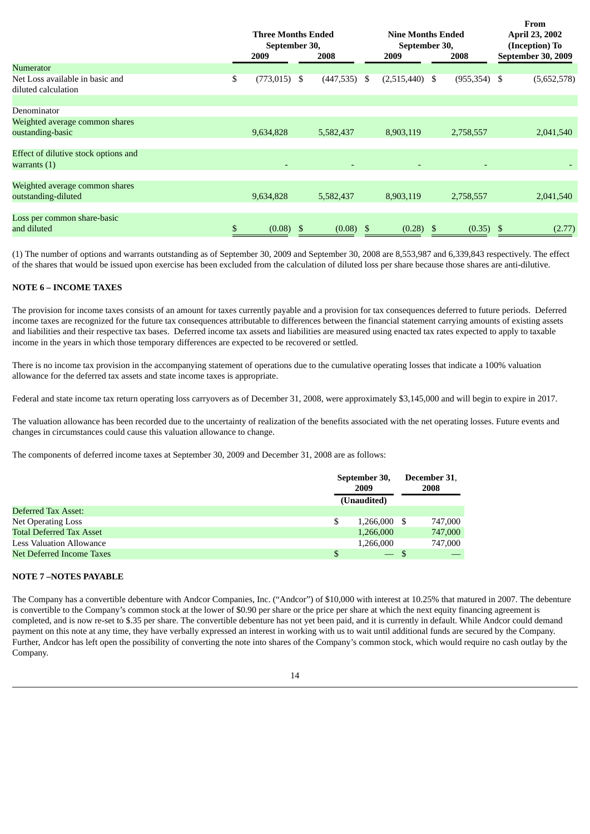|                                                        | <b>Three Months Ended</b><br>September 30,<br>2009 |    | 2008           |    | <b>Nine Months Ended</b><br>September 30,<br>2008<br>2009 |  | From<br>April 23, 2002<br>(Inception) To<br><b>September 30, 2009</b> |  |             |
|--------------------------------------------------------|----------------------------------------------------|----|----------------|----|-----------------------------------------------------------|--|-----------------------------------------------------------------------|--|-------------|
| Numerator                                              |                                                    |    |                |    |                                                           |  |                                                                       |  |             |
| Net Loss available in basic and<br>diluted calculation | \$<br>$(773, 015)$ \$                              |    | $(447,535)$ \$ |    | $(2,515,440)$ \$                                          |  | $(955, 354)$ \$                                                       |  | (5,652,578) |
| Denominator                                            |                                                    |    |                |    |                                                           |  |                                                                       |  |             |
| Weighted average common shares                         |                                                    |    |                |    |                                                           |  |                                                                       |  |             |
| oustanding-basic                                       | 9,634,828                                          |    | 5,582,437      |    | 8,903,119                                                 |  | 2,758,557                                                             |  | 2,041,540   |
| Effect of dilutive stock options and                   |                                                    |    |                |    |                                                           |  |                                                                       |  |             |
| warrants $(1)$                                         | $\overline{\phantom{a}}$                           |    |                |    |                                                           |  |                                                                       |  |             |
| Weighted average common shares                         |                                                    |    |                |    |                                                           |  |                                                                       |  |             |
| outstanding-diluted                                    | 9,634,828                                          |    | 5,582,437      |    | 8,903,119                                                 |  | 2,758,557                                                             |  | 2,041,540   |
|                                                        |                                                    |    |                |    |                                                           |  |                                                                       |  |             |
| Loss per common share-basic                            |                                                    |    |                |    |                                                           |  |                                                                       |  |             |
| and diluted                                            | \$<br>(0.08)                                       | -S | (0.08)         | S. | $(0.28)$ \$                                               |  | (0.35)                                                                |  | (2.77)      |

(1) The number of options and warrants outstanding as of September 30, 2009 and September 30, 2008 are 8,553,987 and 6,339,843 respectively. The effect of the shares that would be issued upon exercise has been excluded from the calculation of diluted loss per share because those shares are anti-dilutive.

# **NOTE 6 – INCOME TAXES**

The provision for income taxes consists of an amount for taxes currently payable and a provision for tax consequences deferred to future periods. Deferred income taxes are recognized for the future tax consequences attributable to differences between the financial statement carrying amounts of existing assets and liabilities and their respective tax bases. Deferred income tax assets and liabilities are measured using enacted tax rates expected to apply to taxable income in the years in which those temporary differences are expected to be recovered or settled.

There is no income tax provision in the accompanying statement of operations due to the cumulative operating losses that indicate a 100% valuation allowance for the deferred tax assets and state income taxes is appropriate.

Federal and state income tax return operating loss carryovers as of December 31, 2008, were approximately \$3,145,000 and will begin to expire in 2017.

The valuation allowance has been recorded due to the uncertainty of realization of the benefits associated with the net operating losses. Future events and changes in circumstances could cause this valuation allowance to change.

The components of deferred income taxes at September 30, 2009 and December 31, 2008 are as follows:

|                                 | September 30,<br>2009<br>(Unaudited) |              | December 31,<br>2008 |         |
|---------------------------------|--------------------------------------|--------------|----------------------|---------|
| Deferred Tax Asset:             |                                      |              |                      |         |
| Net Operating Loss              |                                      | 1,266,000 \$ |                      | 747,000 |
| <b>Total Deferred Tax Asset</b> |                                      | 1,266,000    |                      | 747,000 |
| <b>Less Valuation Allowance</b> |                                      | 1,266,000    |                      | 747,000 |
| Net Deferred Income Taxes       | \$                                   | — S          |                      |         |

## **NOTE 7 –NOTES PAYABLE**

The Company has a convertible debenture with Andcor Companies, Inc. ("Andcor") of \$10,000 with interest at 10.25% that matured in 2007. The debenture is convertible to the Company's common stock at the lower of \$0.90 per share or the price per share at which the next equity financing agreement is completed, and is now re-set to \$.35 per share. The convertible debenture has not yet been paid, and it is currently in default. While Andcor could demand payment on this note at any time, they have verbally expressed an interest in working with us to wait until additional funds are secured by the Company. Further, Andcor has left open the possibility of converting the note into shares of the Company's common stock, which would require no cash outlay by the Company.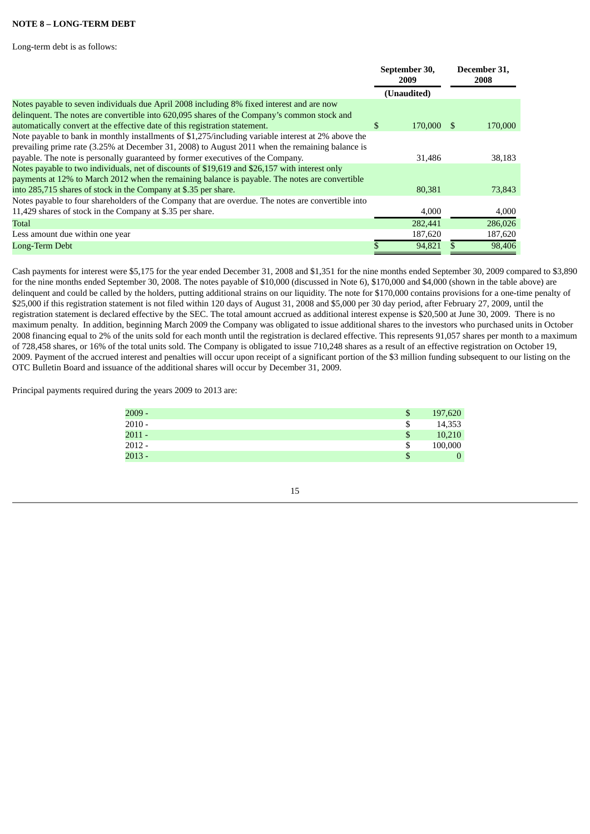# **NOTE 8 – LONG-TERM DEBT**

Long-term debt is as follows:

|                                                                                                     | September 30,<br>2009 |  | December 31,<br>2008 |  |
|-----------------------------------------------------------------------------------------------------|-----------------------|--|----------------------|--|
|                                                                                                     | (Unaudited)           |  |                      |  |
| Notes payable to seven individuals due April 2008 including 8% fixed interest and are now           |                       |  |                      |  |
| delinquent. The notes are convertible into 620,095 shares of the Company's common stock and         |                       |  |                      |  |
| automatically convert at the effective date of this registration statement.                         | \$<br>170,000 \$      |  | 170,000              |  |
| Note payable to bank in monthly installments of \$1,275/including variable interest at 2% above the |                       |  |                      |  |
| prevailing prime rate (3.25% at December 31, 2008) to August 2011 when the remaining balance is     |                       |  |                      |  |
| payable. The note is personally guaranteed by former executives of the Company.                     | 31,486                |  | 38,183               |  |
| Notes payable to two individuals, net of discounts of \$19,619 and \$26,157 with interest only      |                       |  |                      |  |
| payments at 12% to March 2012 when the remaining balance is payable. The notes are convertible      |                       |  |                      |  |
| into 285,715 shares of stock in the Company at \$.35 per share.                                     | 80.381                |  | 73,843               |  |
| Notes payable to four shareholders of the Company that are overdue. The notes are convertible into  |                       |  |                      |  |
| 11,429 shares of stock in the Company at \$.35 per share.                                           | 4,000                 |  | 4,000                |  |
| Total                                                                                               | 282,441               |  | 286,026              |  |
| Less amount due within one year                                                                     | 187,620               |  | 187,620              |  |
| Long-Term Debt                                                                                      | 94.821                |  | 98,406               |  |

Cash payments for interest were \$5,175 for the year ended December 31, 2008 and \$1,351 for the nine months ended September 30, 2009 compared to \$3,890 for the nine months ended September 30, 2008. The notes payable of \$10,000 (discussed in Note 6), \$170,000 and \$4,000 (shown in the table above) are delinquent and could be called by the holders, putting additional strains on our liquidity. The note for \$170,000 contains provisions for a one-time penalty of \$25,000 if this registration statement is not filed within 120 days of August 31, 2008 and \$5,000 per 30 day period, after February 27, 2009, until the registration statement is declared effective by the SEC. The total amount accrued as additional interest expense is \$20,500 at June 30, 2009. There is no maximum penalty. In addition, beginning March 2009 the Company was obligated to issue additional shares to the investors who purchased units in October 2008 financing equal to 2% of the units sold for each month until the registration is declared effective. This represents 91,057 shares per month to a maximum of 728,458 shares, or 16% of the total units sold. The Company is obligated to issue 710,248 shares as a result of an effective registration on October 19, 2009. Payment of the accrued interest and penalties will occur upon receipt of a significant portion of the \$3 million funding subsequent to our listing on the OTC Bulletin Board and issuance of the additional shares will occur by December 31, 2009.

Principal payments required during the years 2009 to 2013 are:

| $2009 -$ | \$<br>197,620 |
|----------|---------------|
| $2010 -$ | \$<br>14,353  |
| $2011 -$ | \$<br>10,210  |
| $2012 -$ | \$<br>100,000 |
| $2013 -$ | \$<br>0       |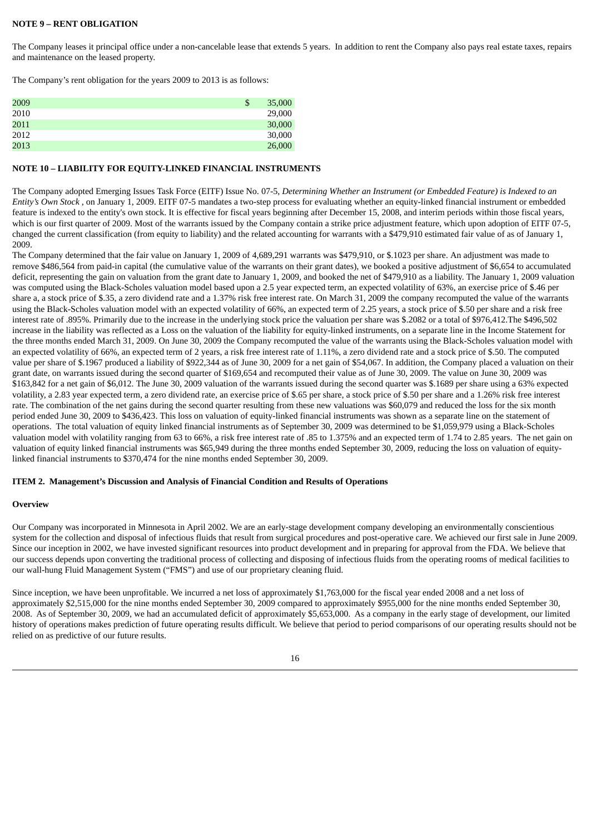## **NOTE 9 – RENT OBLIGATION**

The Company leases it principal office under a non-cancelable lease that extends 5 years. In addition to rent the Company also pays real estate taxes, repairs and maintenance on the leased property.

The Company's rent obligation for the years 2009 to 2013 is as follows:

| 2009 | \$<br>35,000 |
|------|--------------|
| 2010 | 29,000       |
| 2011 | 30,000       |
| 2012 | 30,000       |
| 2013 | 26,000       |

### **NOTE 10 – LIABILITY FOR EQUITY-LINKED FINANCIAL INSTRUMENTS**

The Company adopted Emerging Issues Task Force (EITF) Issue No. 07-5, *Determining Whether an Instrument (or Embedded Feature) is Indexed to an Entity's Own Stock* , on January 1, 2009. EITF 07-5 mandates a two-step process for evaluating whether an equity-linked financial instrument or embedded feature is indexed to the entity's own stock. It is effective for fiscal years beginning after December 15, 2008, and interim periods within those fiscal years, which is our first quarter of 2009. Most of the warrants issued by the Company contain a strike price adjustment feature, which upon adoption of EITF 07-5, changed the current classification (from equity to liability) and the related accounting for warrants with a \$479,910 estimated fair value of as of January 1, 2009.

The Company determined that the fair value on January 1, 2009 of 4,689,291 warrants was \$479,910, or \$.1023 per share. An adjustment was made to remove \$486,564 from paid-in capital (the cumulative value of the warrants on their grant dates), we booked a positive adjustment of \$6,654 to accumulated deficit, representing the gain on valuation from the grant date to January 1, 2009, and booked the net of \$479,910 as a liability. The January 1, 2009 valuation was computed using the Black-Scholes valuation model based upon a 2.5 year expected term, an expected volatility of 63%, an exercise price of \$.46 per share a, a stock price of \$.35, a zero dividend rate and a 1.37% risk free interest rate. On March 31, 2009 the company recomputed the value of the warrants using the Black-Scholes valuation model with an expected volatility of 66%, an expected term of 2.25 years, a stock price of \$.50 per share and a risk free interest rate of .895%. Primarily due to the increase in the underlying stock price the valuation per share was \$.2082 or a total of \$976,412.The \$496,502 increase in the liability was reflected as a Loss on the valuation of the liability for equity-linked instruments, on a separate line in the Income Statement for the three months ended March 31, 2009. On June 30, 2009 the Company recomputed the value of the warrants using the Black-Scholes valuation model with an expected volatility of 66%, an expected term of 2 years, a risk free interest rate of 1.11%, a zero dividend rate and a stock price of \$.50. The computed value per share of \$.1967 produced a liability of \$922,344 as of June 30, 2009 for a net gain of \$54,067. In addition, the Company placed a valuation on their grant date, on warrants issued during the second quarter of \$169,654 and recomputed their value as of June 30, 2009. The value on June 30, 2009 was \$163,842 for a net gain of \$6,012. The June 30, 2009 valuation of the warrants issued during the second quarter was \$.1689 per share using a 63% expected volatility, a 2.83 year expected term, a zero dividend rate, an exercise price of \$.65 per share, a stock price of \$.50 per share and a 1.26% risk free interest rate. The combination of the net gains during the second quarter resulting from these new valuations was \$60,079 and reduced the loss for the six month period ended June 30, 2009 to \$436,423. This loss on valuation of equity-linked financial instruments was shown as a separate line on the statement of operations. The total valuation of equity linked financial instruments as of September 30, 2009 was determined to be \$1,059,979 using a Black-Scholes valuation model with volatility ranging from 63 to 66%, a risk free interest rate of .85 to 1.375% and an expected term of 1.74 to 2.85 years. The net gain on valuation of equity linked financial instruments was \$65,949 during the three months ended September 30, 2009, reducing the loss on valuation of equitylinked financial instruments to \$370,474 for the nine months ended September 30, 2009.

## **ITEM 2. Management's Discussion and Analysis of Financial Condition and Results of Operations**

## **Overview**

Our Company was incorporated in Minnesota in April 2002. We are an early-stage development company developing an environmentally conscientious system for the collection and disposal of infectious fluids that result from surgical procedures and post-operative care. We achieved our first sale in June 2009. Since our inception in 2002, we have invested significant resources into product development and in preparing for approval from the FDA. We believe that our success depends upon converting the traditional process of collecting and disposing of infectious fluids from the operating rooms of medical facilities to our wall-hung Fluid Management System ("FMS") and use of our proprietary cleaning fluid.

Since inception, we have been unprofitable. We incurred a net loss of approximately \$1,763,000 for the fiscal year ended 2008 and a net loss of approximately \$2,515,000 for the nine months ended September 30, 2009 compared to approximately \$955,000 for the nine months ended September 30, 2008. As of September 30, 2009, we had an accumulated deficit of approximately \$5,653,000. As a company in the early stage of development, our limited history of operations makes prediction of future operating results difficult. We believe that period to period comparisons of our operating results should not be relied on as predictive of our future results.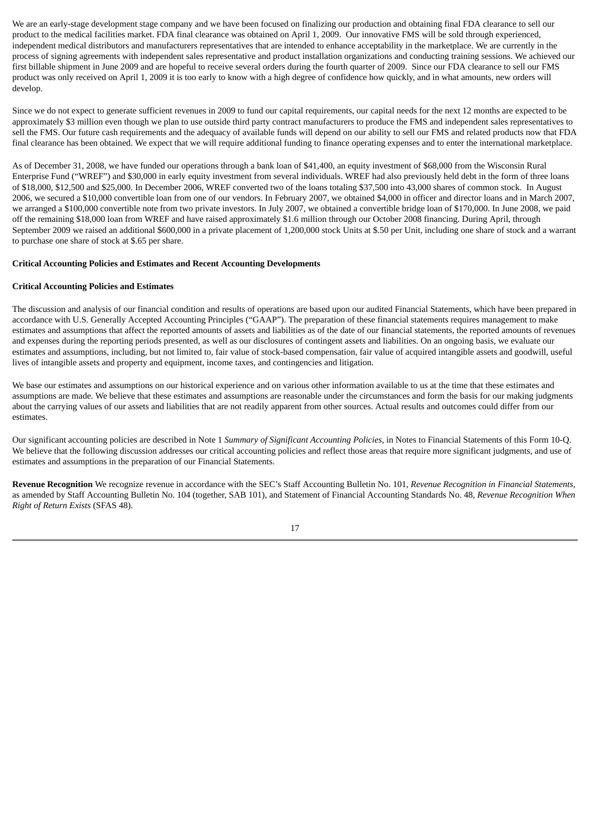We are an early-stage development stage company and we have been focused on finalizing our production and obtaining final FDA clearance to sell our product to the medical facilities market. FDA final clearance was obtained on April 1, 2009. Our innovative FMS will be sold through experienced, independent medical distributors and manufacturers representatives that are intended to enhance acceptability in the marketplace. We are currently in the process of signing agreements with independent sales representative and product installation organizations and conducting training sessions. We achieved our first billable shipment in June 2009 and are hopeful to receive several orders during the fourth quarter of 2009. Since our FDA clearance to sell our FMS product was only received on April 1, 2009 it is too early to know with a high degree of confidence how quickly, and in what amounts, new orders will develop.

Since we do not expect to generate sufficient revenues in 2009 to fund our capital requirements, our capital needs for the next 12 months are expected to be approximately \$3 million even though we plan to use outside third party contract manufacturers to produce the FMS and independent sales representatives to sell the FMS. Our future cash requirements and the adequacy of available funds will depend on our ability to sell our FMS and related products now that FDA final clearance has been obtained. We expect that we will require additional funding to finance operating expenses and to enter the international marketplace.

As of December 31, 2008, we have funded our operations through a bank loan of \$41,400, an equity investment of \$68,000 from the Wisconsin Rural Enterprise Fund ("WREF") and \$30,000 in early equity investment from several individuals. WREF had also previously held debt in the form of three loans of \$18,000, \$12,500 and \$25,000. In December 2006, WREF converted two of the loans totaling \$37,500 into 43,000 shares of common stock. In August 2006, we secured a \$10,000 convertible loan from one of our vendors. In February 2007, we obtained \$4,000 in officer and director loans and in March 2007, we arranged a \$100,000 convertible note from two private investors. In July 2007, we obtained a convertible bridge loan of \$170,000. In June 2008, we paid off the remaining \$18,000 loan from WREF and have raised approximately \$1.6 million through our October 2008 financing. During April, through September 2009 we raised an additional \$600,000 in a private placement of 1,200,000 stock Units at \$.50 per Unit, including one share of stock and a warrant to purchase one share of stock at \$.65 per share.

#### **Critical Accounting Policies and Estimates and Recent Accounting Developments**

#### **Critical Accounting Policies and Estimates**

The discussion and analysis of our financial condition and results of operations are based upon our audited Financial Statements, which have been prepared in accordance with U.S. Generally Accepted Accounting Principles ("GAAP"). The preparation of these financial statements requires management to make estimates and assumptions that affect the reported amounts of assets and liabilities as of the date of our financial statements, the reported amounts of revenues and expenses during the reporting periods presented, as well as our disclosures of contingent assets and liabilities. On an ongoing basis, we evaluate our estimates and assumptions, including, but not limited to, fair value of stock-based compensation, fair value of acquired intangible assets and goodwill, useful lives of intangible assets and property and equipment, income taxes, and contingencies and litigation.

We base our estimates and assumptions on our historical experience and on various other information available to us at the time that these estimates and assumptions are made. We believe that these estimates and assumptions are reasonable under the circumstances and form the basis for our making judgments about the carrying values of our assets and liabilities that are not readily apparent from other sources. Actual results and outcomes could differ from our estimates.

Our significant accounting policies are described in Note 1 *Summary of Significant Accounting Policies,* in Notes to Financial Statements of this Form 10-Q. We believe that the following discussion addresses our critical accounting policies and reflect those areas that require more significant judgments, and use of estimates and assumptions in the preparation of our Financial Statements.

**Revenue Recognition** We recognize revenue in accordance with the SEC's Staff Accounting Bulletin No. 101, *Revenue Recognition in Financial Statements*, as amended by Staff Accounting Bulletin No. 104 (together, SAB 101), and Statement of Financial Accounting Standards No. 48, *Revenue Recognition When Right of Return Exists* (SFAS 48).

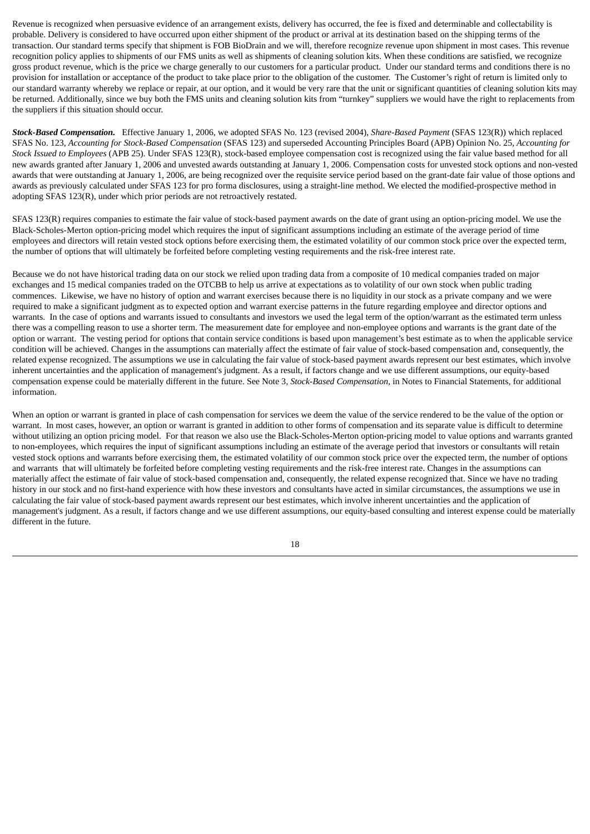Revenue is recognized when persuasive evidence of an arrangement exists, delivery has occurred, the fee is fixed and determinable and collectability is probable. Delivery is considered to have occurred upon either shipment of the product or arrival at its destination based on the shipping terms of the transaction. Our standard terms specify that shipment is FOB BioDrain and we will, therefore recognize revenue upon shipment in most cases. This revenue recognition policy applies to shipments of our FMS units as well as shipments of cleaning solution kits. When these conditions are satisfied, we recognize gross product revenue, which is the price we charge generally to our customers for a particular product. Under our standard terms and conditions there is no provision for installation or acceptance of the product to take place prior to the obligation of the customer. The Customer's right of return is limited only to our standard warranty whereby we replace or repair, at our option, and it would be very rare that the unit or significant quantities of cleaning solution kits may be returned. Additionally, since we buy both the FMS units and cleaning solution kits from "turnkey" suppliers we would have the right to replacements from the suppliers if this situation should occur.

*Stock-Based Compensation.* Effective January 1, 2006, we adopted SFAS No. 123 (revised 2004), *Share-Based Payment* (SFAS 123(R)) which replaced SFAS No. 123, *Accounting for Stock-Based Compensation* (SFAS 123) and superseded Accounting Principles Board (APB) Opinion No. 25, *Accounting for Stock Issued to Employees* (APB 25). Under SFAS 123(R), stock-based employee compensation cost is recognized using the fair value based method for all new awards granted after January 1, 2006 and unvested awards outstanding at January 1, 2006. Compensation costs for unvested stock options and non-vested awards that were outstanding at January 1, 2006, are being recognized over the requisite service period based on the grant-date fair value of those options and awards as previously calculated under SFAS 123 for pro forma disclosures, using a straight-line method. We elected the modified-prospective method in adopting SFAS 123(R), under which prior periods are not retroactively restated.

SFAS 123(R) requires companies to estimate the fair value of stock-based payment awards on the date of grant using an option-pricing model. We use the Black-Scholes-Merton option-pricing model which requires the input of significant assumptions including an estimate of the average period of time employees and directors will retain vested stock options before exercising them, the estimated volatility of our common stock price over the expected term, the number of options that will ultimately be forfeited before completing vesting requirements and the risk-free interest rate.

Because we do not have historical trading data on our stock we relied upon trading data from a composite of 10 medical companies traded on major exchanges and 15 medical companies traded on the OTCBB to help us arrive at expectations as to volatility of our own stock when public trading commences. Likewise, we have no history of option and warrant exercises because there is no liquidity in our stock as a private company and we were required to make a significant judgment as to expected option and warrant exercise patterns in the future regarding employee and director options and warrants. In the case of options and warrants issued to consultants and investors we used the legal term of the option/warrant as the estimated term unless there was a compelling reason to use a shorter term. The measurement date for employee and non-employee options and warrants is the grant date of the option or warrant. The vesting period for options that contain service conditions is based upon management's best estimate as to when the applicable service condition will be achieved. Changes in the assumptions can materially affect the estimate of fair value of stock-based compensation and, consequently, the related expense recognized. The assumptions we use in calculating the fair value of stock-based payment awards represent our best estimates, which involve inherent uncertainties and the application of management's judgment. As a result, if factors change and we use different assumptions, our equity-based compensation expense could be materially different in the future. See Note 3, *Stock-Based Compensation,* in Notes to Financial Statements, for additional information.

When an option or warrant is granted in place of cash compensation for services we deem the value of the service rendered to be the value of the option or warrant. In most cases, however, an option or warrant is granted in addition to other forms of compensation and its separate value is difficult to determine without utilizing an option pricing model. For that reason we also use the Black-Scholes-Merton option-pricing model to value options and warrants granted to non-employees, which requires the input of significant assumptions including an estimate of the average period that investors or consultants will retain vested stock options and warrants before exercising them, the estimated volatility of our common stock price over the expected term, the number of options and warrants that will ultimately be forfeited before completing vesting requirements and the risk-free interest rate. Changes in the assumptions can materially affect the estimate of fair value of stock-based compensation and, consequently, the related expense recognized that. Since we have no trading history in our stock and no first-hand experience with how these investors and consultants have acted in similar circumstances, the assumptions we use in calculating the fair value of stock-based payment awards represent our best estimates, which involve inherent uncertainties and the application of management's judgment. As a result, if factors change and we use different assumptions, our equity-based consulting and interest expense could be materially different in the future.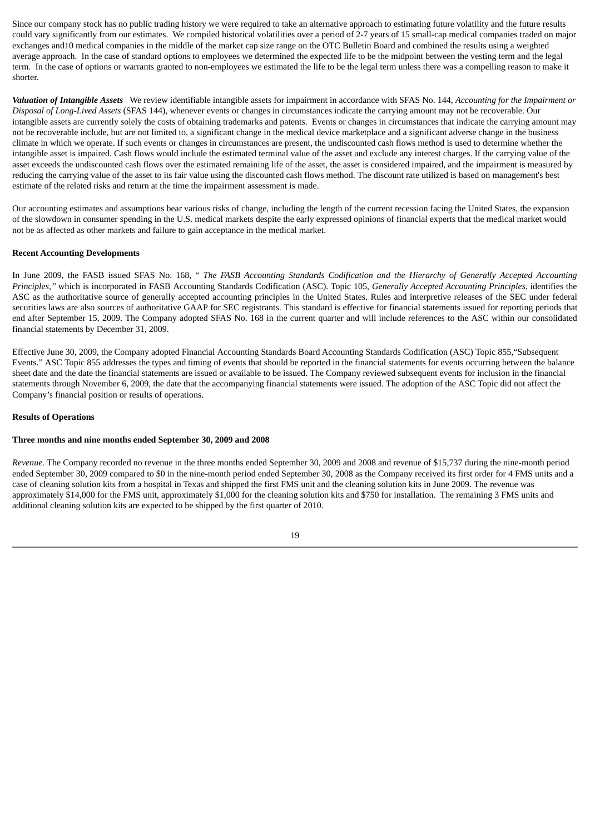Since our company stock has no public trading history we were required to take an alternative approach to estimating future volatility and the future results could vary significantly from our estimates. We compiled historical volatilities over a period of 2-7 years of 15 small-cap medical companies traded on major exchanges and10 medical companies in the middle of the market cap size range on the OTC Bulletin Board and combined the results using a weighted average approach. In the case of standard options to employees we determined the expected life to be the midpoint between the vesting term and the legal term. In the case of options or warrants granted to non-employees we estimated the life to be the legal term unless there was a compelling reason to make it shorter.

*Valuation of Intangible Assets* We review identifiable intangible assets for impairment in accordance with SFAS No. 144, *Accounting for the Impairment or Disposal of Long-Lived Assets* (SFAS 144), whenever events or changes in circumstances indicate the carrying amount may not be recoverable. Our intangible assets are currently solely the costs of obtaining trademarks and patents. Events or changes in circumstances that indicate the carrying amount may not be recoverable include, but are not limited to, a significant change in the medical device marketplace and a significant adverse change in the business climate in which we operate. If such events or changes in circumstances are present, the undiscounted cash flows method is used to determine whether the intangible asset is impaired. Cash flows would include the estimated terminal value of the asset and exclude any interest charges. If the carrying value of the asset exceeds the undiscounted cash flows over the estimated remaining life of the asset, the asset is considered impaired, and the impairment is measured by reducing the carrying value of the asset to its fair value using the discounted cash flows method. The discount rate utilized is based on management's best estimate of the related risks and return at the time the impairment assessment is made.

Our accounting estimates and assumptions bear various risks of change, including the length of the current recession facing the United States, the expansion of the slowdown in consumer spending in the U.S. medical markets despite the early expressed opinions of financial experts that the medical market would not be as affected as other markets and failure to gain acceptance in the medical market.

#### **Recent Accounting Developments**

In June 2009, the FASB issued SFAS No. 168, " *The FASB Accounting Standards Codification and the Hierarchy of Generally Accepted Accounting Principles,"* which is incorporated in FASB Accounting Standards Codification (ASC). Topic 105, *Generally Accepted Accounting Principles*, identifies the ASC as the authoritative source of generally accepted accounting principles in the United States. Rules and interpretive releases of the SEC under federal securities laws are also sources of authoritative GAAP for SEC registrants. This standard is effective for financial statements issued for reporting periods that end after September 15, 2009. The Company adopted SFAS No. 168 in the current quarter and will include references to the ASC within our consolidated financial statements by December 31, 2009.

Effective June 30, 2009, the Company adopted Financial Accounting Standards Board Accounting Standards Codification (ASC) Topic 855,"Subsequent Events." ASC Topic 855 addresses the types and timing of events that should be reported in the financial statements for events occurring between the balance sheet date and the date the financial statements are issued or available to be issued. The Company reviewed subsequent events for inclusion in the financial statements through November 6, 2009, the date that the accompanying financial statements were issued. The adoption of the ASC Topic did not affect the Company's financial position or results of operations.

#### **Results of Operations**

#### **Three months and nine months ended September 30, 2009 and 2008**

*Revenue.* The Company recorded no revenue in the three months ended September 30, 2009 and 2008 and revenue of \$15,737 during the nine-month period ended September 30, 2009 compared to \$0 in the nine-month period ended September 30, 2008 as the Company received its first order for 4 FMS units and a case of cleaning solution kits from a hospital in Texas and shipped the first FMS unit and the cleaning solution kits in June 2009. The revenue was approximately \$14,000 for the FMS unit, approximately \$1,000 for the cleaning solution kits and \$750 for installation. The remaining 3 FMS units and additional cleaning solution kits are expected to be shipped by the first quarter of 2010.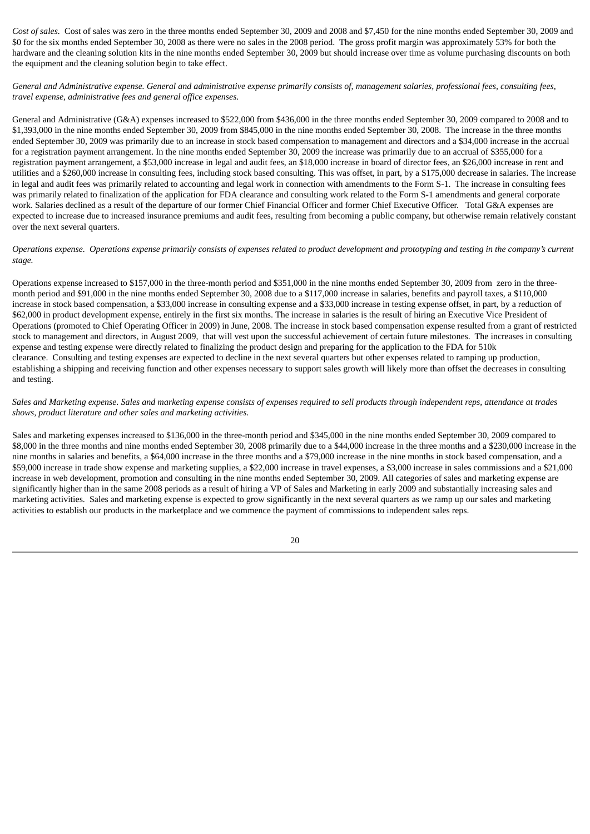*Cost of sales.* Cost of sales was zero in the three months ended September 30, 2009 and 2008 and \$7,450 for the nine months ended September 30, 2009 and \$0 for the six months ended September 30, 2008 as there were no sales in the 2008 period. The gross profit margin was approximately 53% for both the hardware and the cleaning solution kits in the nine months ended September 30, 2009 but should increase over time as volume purchasing discounts on both the equipment and the cleaning solution begin to take effect.

General and Administrative expense. General and administrative expense primarily consists of, management salaries, professional fees, consulting fees, *travel expense, administrative fees and general office expenses.*

General and Administrative (G&A) expenses increased to \$522,000 from \$436,000 in the three months ended September 30, 2009 compared to 2008 and to \$1,393,000 in the nine months ended September 30, 2009 from \$845,000 in the nine months ended September 30, 2008. The increase in the three months ended September 30, 2009 was primarily due to an increase in stock based compensation to management and directors and a \$34,000 increase in the accrual for a registration payment arrangement. In the nine months ended September 30, 2009 the increase was primarily due to an accrual of \$355,000 for a registration payment arrangement, a \$53,000 increase in legal and audit fees, an \$18,000 increase in board of director fees, an \$26,000 increase in rent and utilities and a \$260,000 increase in consulting fees, including stock based consulting. This was offset, in part, by a \$175,000 decrease in salaries. The increase in legal and audit fees was primarily related to accounting and legal work in connection with amendments to the Form S-1. The increase in consulting fees was primarily related to finalization of the application for FDA clearance and consulting work related to the Form S-1 amendments and general corporate work. Salaries declined as a result of the departure of our former Chief Financial Officer and former Chief Executive Officer. Total G&A expenses are expected to increase due to increased insurance premiums and audit fees, resulting from becoming a public company, but otherwise remain relatively constant over the next several quarters.

### Operations expense. Operations expense primarily consists of expenses related to product development and prototyping and testing in the company's current *stage.*

Operations expense increased to \$157,000 in the three-month period and \$351,000 in the nine months ended September 30, 2009 from zero in the threemonth period and \$91,000 in the nine months ended September 30, 2008 due to a \$117,000 increase in salaries, benefits and payroll taxes, a \$110,000 increase in stock based compensation, a \$33,000 increase in consulting expense and a \$33,000 increase in testing expense offset, in part, by a reduction of \$62,000 in product development expense, entirely in the first six months. The increase in salaries is the result of hiring an Executive Vice President of Operations (promoted to Chief Operating Officer in 2009) in June, 2008. The increase in stock based compensation expense resulted from a grant of restricted stock to management and directors, in August 2009, that will vest upon the successful achievement of certain future milestones. The increases in consulting expense and testing expense were directly related to finalizing the product design and preparing for the application to the FDA for 510k clearance. Consulting and testing expenses are expected to decline in the next several quarters but other expenses related to ramping up production, establishing a shipping and receiving function and other expenses necessary to support sales growth will likely more than offset the decreases in consulting and testing.

# Sales and Marketing expense. Sales and marketing expense consists of expenses required to sell products through independent reps, attendance at trades *shows, product literature and other sales and marketing activities.*

Sales and marketing expenses increased to \$136,000 in the three-month period and \$345,000 in the nine months ended September 30, 2009 compared to \$8,000 in the three months and nine months ended September 30, 2008 primarily due to a \$44,000 increase in the three months and a \$230,000 increase in the nine months in salaries and benefits, a \$64,000 increase in the three months and a \$79,000 increase in the nine months in stock based compensation, and a \$59,000 increase in trade show expense and marketing supplies, a \$22,000 increase in travel expenses, a \$3,000 increase in sales commissions and a \$21,000 increase in web development, promotion and consulting in the nine months ended September 30, 2009. All categories of sales and marketing expense are significantly higher than in the same 2008 periods as a result of hiring a VP of Sales and Marketing in early 2009 and substantially increasing sales and marketing activities. Sales and marketing expense is expected to grow significantly in the next several quarters as we ramp up our sales and marketing activities to establish our products in the marketplace and we commence the payment of commissions to independent sales reps.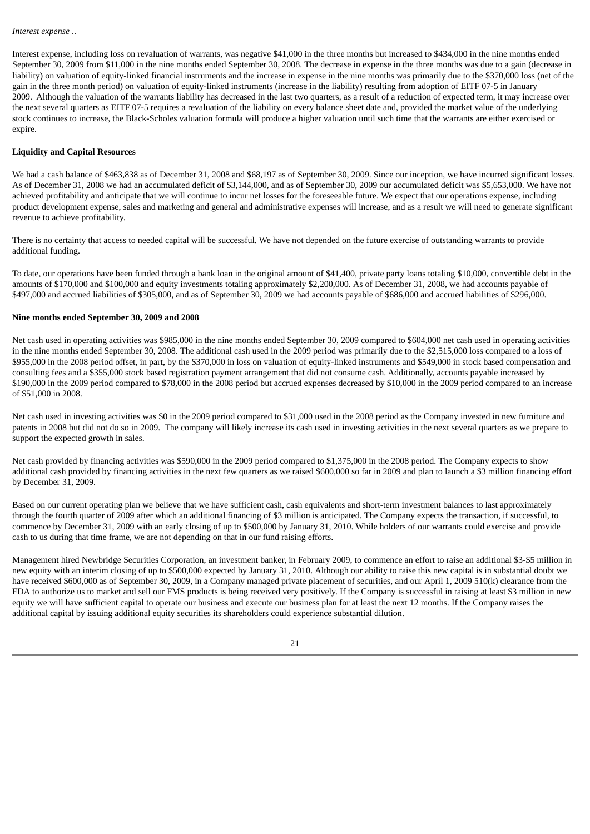Interest expense, including loss on revaluation of warrants, was negative \$41,000 in the three months but increased to \$434,000 in the nine months ended September 30, 2009 from \$11,000 in the nine months ended September 30, 2008. The decrease in expense in the three months was due to a gain (decrease in liability) on valuation of equity-linked financial instruments and the increase in expense in the nine months was primarily due to the \$370,000 loss (net of the gain in the three month period) on valuation of equity-linked instruments (increase in the liability) resulting from adoption of EITF 07-5 in January 2009. Although the valuation of the warrants liability has decreased in the last two quarters, as a result of a reduction of expected term, it may increase over the next several quarters as EITF 07-5 requires a revaluation of the liability on every balance sheet date and, provided the market value of the underlying stock continues to increase, the Black-Scholes valuation formula will produce a higher valuation until such time that the warrants are either exercised or expire.

### **Liquidity and Capital Resources**

We had a cash balance of \$463,838 as of December 31, 2008 and \$68,197 as of September 30, 2009. Since our inception, we have incurred significant losses. As of December 31, 2008 we had an accumulated deficit of \$3,144,000, and as of September 30, 2009 our accumulated deficit was \$5,653,000. We have not achieved profitability and anticipate that we will continue to incur net losses for the foreseeable future. We expect that our operations expense, including product development expense, sales and marketing and general and administrative expenses will increase, and as a result we will need to generate significant revenue to achieve profitability.

There is no certainty that access to needed capital will be successful. We have not depended on the future exercise of outstanding warrants to provide additional funding.

To date, our operations have been funded through a bank loan in the original amount of \$41,400, private party loans totaling \$10,000, convertible debt in the amounts of \$170,000 and \$100,000 and equity investments totaling approximately \$2,200,000. As of December 31, 2008, we had accounts payable of \$497,000 and accrued liabilities of \$305,000, and as of September 30, 2009 we had accounts payable of \$686,000 and accrued liabilities of \$296,000.

#### **Nine months ended September 30, 2009 and 2008**

Net cash used in operating activities was \$985,000 in the nine months ended September 30, 2009 compared to \$604,000 net cash used in operating activities in the nine months ended September 30, 2008. The additional cash used in the 2009 period was primarily due to the \$2,515,000 loss compared to a loss of \$955,000 in the 2008 period offset, in part, by the \$370,000 in loss on valuation of equity-linked instruments and \$549,000 in stock based compensation and consulting fees and a \$355,000 stock based registration payment arrangement that did not consume cash. Additionally, accounts payable increased by \$190,000 in the 2009 period compared to \$78,000 in the 2008 period but accrued expenses decreased by \$10,000 in the 2009 period compared to an increase of \$51,000 in 2008.

Net cash used in investing activities was \$0 in the 2009 period compared to \$31,000 used in the 2008 period as the Company invested in new furniture and patents in 2008 but did not do so in 2009. The company will likely increase its cash used in investing activities in the next several quarters as we prepare to support the expected growth in sales.

Net cash provided by financing activities was \$590,000 in the 2009 period compared to \$1,375,000 in the 2008 period. The Company expects to show additional cash provided by financing activities in the next few quarters as we raised \$600,000 so far in 2009 and plan to launch a \$3 million financing effort by December 31, 2009.

Based on our current operating plan we believe that we have sufficient cash, cash equivalents and short-term investment balances to last approximately through the fourth quarter of 2009 after which an additional financing of \$3 million is anticipated. The Company expects the transaction, if successful, to commence by December 31, 2009 with an early closing of up to \$500,000 by January 31, 2010. While holders of our warrants could exercise and provide cash to us during that time frame, we are not depending on that in our fund raising efforts.

Management hired Newbridge Securities Corporation, an investment banker, in February 2009, to commence an effort to raise an additional \$3-\$5 million in new equity with an interim closing of up to \$500,000 expected by January 31, 2010. Although our ability to raise this new capital is in substantial doubt we have received \$600,000 as of September 30, 2009, in a Company managed private placement of securities, and our April 1, 2009 510(k) clearance from the FDA to authorize us to market and sell our FMS products is being received very positively. If the Company is successful in raising at least \$3 million in new equity we will have sufficient capital to operate our business and execute our business plan for at least the next 12 months. If the Company raises the additional capital by issuing additional equity securities its shareholders could experience substantial dilution.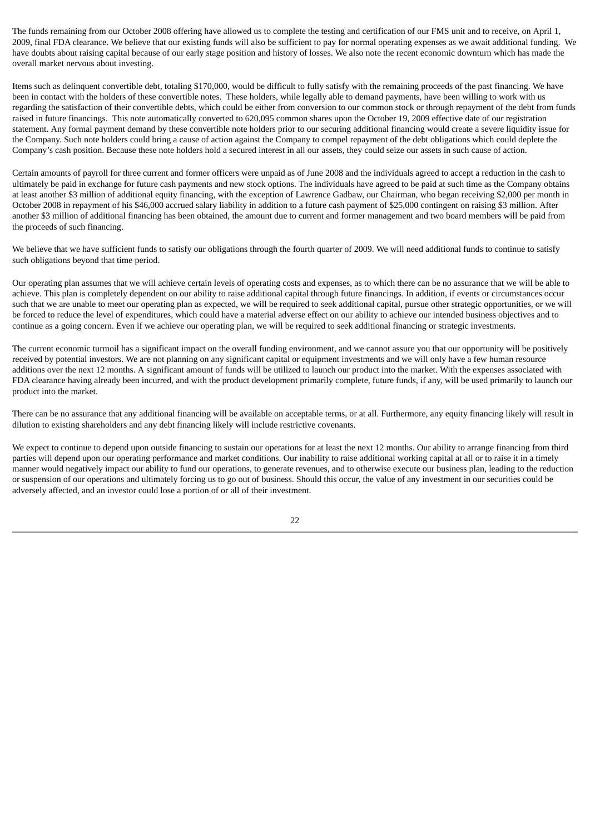The funds remaining from our October 2008 offering have allowed us to complete the testing and certification of our FMS unit and to receive, on April 1, 2009, final FDA clearance. We believe that our existing funds will also be sufficient to pay for normal operating expenses as we await additional funding. We have doubts about raising capital because of our early stage position and history of losses. We also note the recent economic downturn which has made the overall market nervous about investing.

Items such as delinquent convertible debt, totaling \$170,000, would be difficult to fully satisfy with the remaining proceeds of the past financing. We have been in contact with the holders of these convertible notes. These holders, while legally able to demand payments, have been willing to work with us regarding the satisfaction of their convertible debts, which could be either from conversion to our common stock or through repayment of the debt from funds raised in future financings. This note automatically converted to 620,095 common shares upon the October 19, 2009 effective date of our registration statement. Any formal payment demand by these convertible note holders prior to our securing additional financing would create a severe liquidity issue for the Company. Such note holders could bring a cause of action against the Company to compel repayment of the debt obligations which could deplete the Company's cash position. Because these note holders hold a secured interest in all our assets, they could seize our assets in such cause of action.

Certain amounts of payroll for three current and former officers were unpaid as of June 2008 and the individuals agreed to accept a reduction in the cash to ultimately be paid in exchange for future cash payments and new stock options. The individuals have agreed to be paid at such time as the Company obtains at least another \$3 million of additional equity financing, with the exception of Lawrence Gadbaw, our Chairman, who began receiving \$2,000 per month in October 2008 in repayment of his \$46,000 accrued salary liability in addition to a future cash payment of \$25,000 contingent on raising \$3 million. After another \$3 million of additional financing has been obtained, the amount due to current and former management and two board members will be paid from the proceeds of such financing.

We believe that we have sufficient funds to satisfy our obligations through the fourth quarter of 2009. We will need additional funds to continue to satisfy such obligations beyond that time period.

Our operating plan assumes that we will achieve certain levels of operating costs and expenses, as to which there can be no assurance that we will be able to achieve. This plan is completely dependent on our ability to raise additional capital through future financings. In addition, if events or circumstances occur such that we are unable to meet our operating plan as expected, we will be required to seek additional capital, pursue other strategic opportunities, or we will be forced to reduce the level of expenditures, which could have a material adverse effect on our ability to achieve our intended business objectives and to continue as a going concern. Even if we achieve our operating plan, we will be required to seek additional financing or strategic investments.

The current economic turmoil has a significant impact on the overall funding environment, and we cannot assure you that our opportunity will be positively received by potential investors. We are not planning on any significant capital or equipment investments and we will only have a few human resource additions over the next 12 months. A significant amount of funds will be utilized to launch our product into the market. With the expenses associated with FDA clearance having already been incurred, and with the product development primarily complete, future funds, if any, will be used primarily to launch our product into the market.

There can be no assurance that any additional financing will be available on acceptable terms, or at all. Furthermore, any equity financing likely will result in dilution to existing shareholders and any debt financing likely will include restrictive covenants.

We expect to continue to depend upon outside financing to sustain our operations for at least the next 12 months. Our ability to arrange financing from third parties will depend upon our operating performance and market conditions. Our inability to raise additional working capital at all or to raise it in a timely manner would negatively impact our ability to fund our operations, to generate revenues, and to otherwise execute our business plan, leading to the reduction or suspension of our operations and ultimately forcing us to go out of business. Should this occur, the value of any investment in our securities could be adversely affected, and an investor could lose a portion of or all of their investment.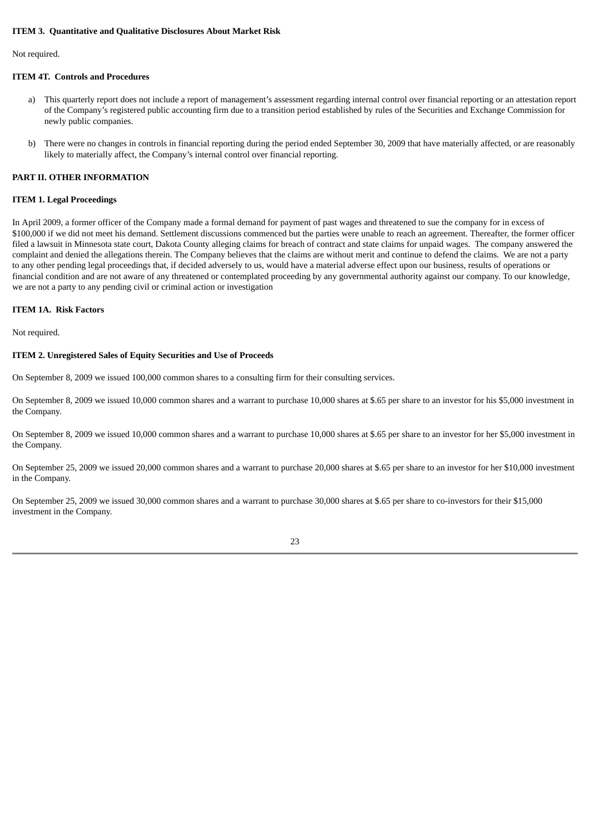## **ITEM 3. Quantitative and Qualitative Disclosures About Market Risk**

Not required.

## **ITEM 4T. Controls and Procedures**

- a) This quarterly report does not include a report of management's assessment regarding internal control over financial reporting or an attestation report of the Company's registered public accounting firm due to a transition period established by rules of the Securities and Exchange Commission for newly public companies.
- b) There were no changes in controls in financial reporting during the period ended September 30, 2009 that have materially affected, or are reasonably likely to materially affect, the Company's internal control over financial reporting.

### **PART II. OTHER INFORMATION**

# **ITEM 1. Legal Proceedings**

In April 2009, a former officer of the Company made a formal demand for payment of past wages and threatened to sue the company for in excess of \$100,000 if we did not meet his demand. Settlement discussions commenced but the parties were unable to reach an agreement. Thereafter, the former officer filed a lawsuit in Minnesota state court, Dakota County alleging claims for breach of contract and state claims for unpaid wages. The company answered the complaint and denied the allegations therein. The Company believes that the claims are without merit and continue to defend the claims. We are not a party to any other pending legal proceedings that, if decided adversely to us, would have a material adverse effect upon our business, results of operations or financial condition and are not aware of any threatened or contemplated proceeding by any governmental authority against our company. To our knowledge, we are not a party to any pending civil or criminal action or investigation

# **ITEM 1A. Risk Factors**

Not required.

#### **ITEM 2. Unregistered Sales of Equity Securities and Use of Proceeds**

On September 8, 2009 we issued 100,000 common shares to a consulting firm for their consulting services.

On September 8, 2009 we issued 10,000 common shares and a warrant to purchase 10,000 shares at \$.65 per share to an investor for his \$5,000 investment in the Company.

On September 8, 2009 we issued 10,000 common shares and a warrant to purchase 10,000 shares at \$.65 per share to an investor for her \$5,000 investment in the Company.

On September 25, 2009 we issued 20,000 common shares and a warrant to purchase 20,000 shares at \$.65 per share to an investor for her \$10,000 investment in the Company.

On September 25, 2009 we issued 30,000 common shares and a warrant to purchase 30,000 shares at \$.65 per share to co-investors for their \$15,000 investment in the Company.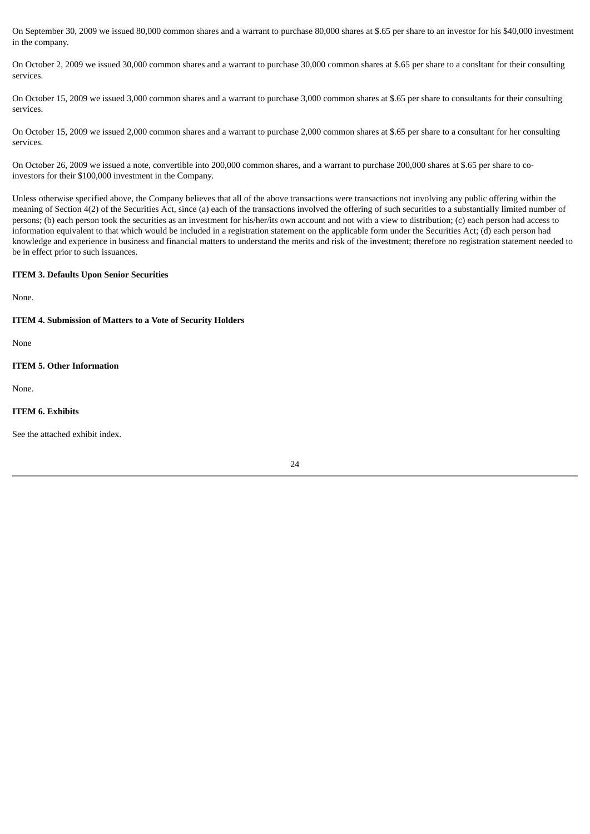On September 30, 2009 we issued 80,000 common shares and a warrant to purchase 80,000 shares at \$.65 per share to an investor for his \$40,000 investment in the company.

On October 2, 2009 we issued 30,000 common shares and a warrant to purchase 30,000 common shares at \$.65 per share to a consltant for their consulting services.

On October 15, 2009 we issued 3,000 common shares and a warrant to purchase 3,000 common shares at \$.65 per share to consultants for their consulting services.

On October 15, 2009 we issued 2,000 common shares and a warrant to purchase 2,000 common shares at \$.65 per share to a consultant for her consulting services.

On October 26, 2009 we issued a note, convertible into 200,000 common shares, and a warrant to purchase 200,000 shares at \$.65 per share to coinvestors for their \$100,000 investment in the Company.

Unless otherwise specified above, the Company believes that all of the above transactions were transactions not involving any public offering within the meaning of Section 4(2) of the Securities Act, since (a) each of the transactions involved the offering of such securities to a substantially limited number of persons; (b) each person took the securities as an investment for his/her/its own account and not with a view to distribution; (c) each person had access to information equivalent to that which would be included in a registration statement on the applicable form under the Securities Act; (d) each person had knowledge and experience in business and financial matters to understand the merits and risk of the investment; therefore no registration statement needed to be in effect prior to such issuances.

# **ITEM 3. Defaults Upon Senior Securities**

None.

## **ITEM 4. Submission of Matters to a Vote of Security Holders**

None

# **ITEM 5. Other Information**

None.

# **ITEM 6. Exhibits**

See the attached exhibit index.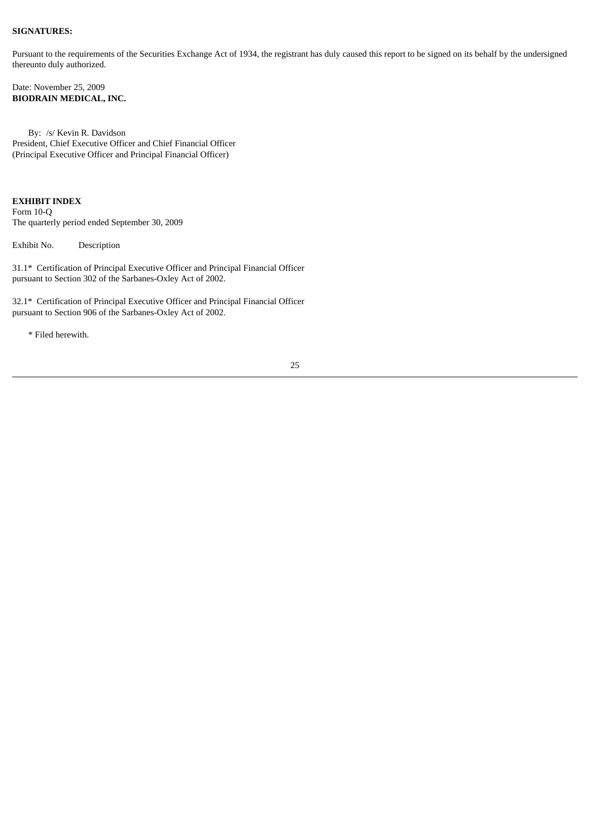## **SIGNATURES:**

Pursuant to the requirements of the Securities Exchange Act of 1934, the registrant has duly caused this report to be signed on its behalf by the undersigned thereunto duly authorized.

Date: November 25, 2009 **BIODRAIN MEDICAL, INC.**

By: /s/ Kevin R. Davidson President, Chief Executive Officer and Chief Financial Officer (Principal Executive Officer and Principal Financial Officer)

# **EXHIBIT INDEX**

Form 10-Q The quarterly period ended September 30, 2009

Exhibit No. Description

31.1\* Certification of Principal Executive Officer and Principal Financial Officer pursuant to Section 302 of the Sarbanes-Oxley Act of 2002.

32.1\* Certification of Principal Executive Officer and Principal Financial Officer pursuant to Section 906 of the Sarbanes-Oxley Act of 2002.

\* Filed herewith.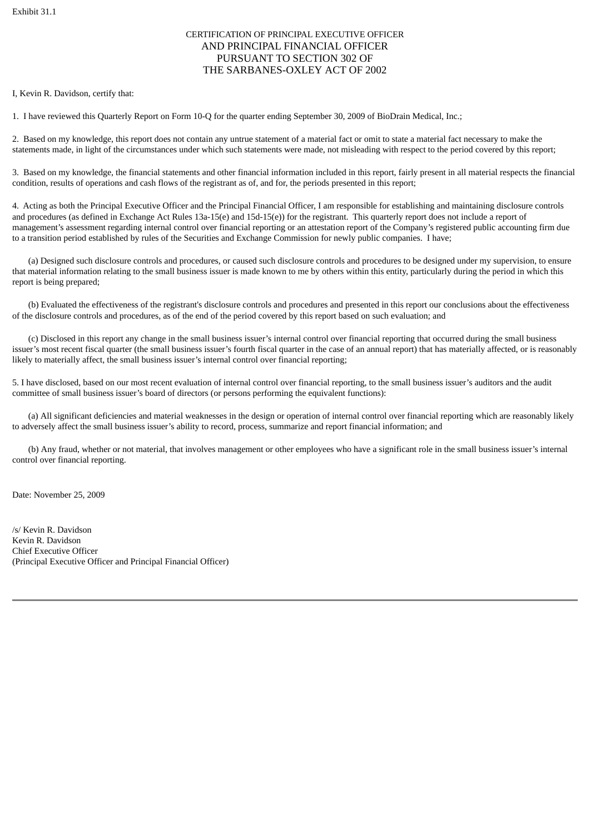# CERTIFICATION OF PRINCIPAL EXECUTIVE OFFICER AND PRINCIPAL FINANCIAL OFFICER PURSUANT TO SECTION 302 OF THE SARBANES-OXLEY ACT OF 2002

I, Kevin R. Davidson, certify that:

1. I have reviewed this Quarterly Report on Form 10-Q for the quarter ending September 30, 2009 of BioDrain Medical, Inc.;

2. Based on my knowledge, this report does not contain any untrue statement of a material fact or omit to state a material fact necessary to make the statements made, in light of the circumstances under which such statements were made, not misleading with respect to the period covered by this report;

3. Based on my knowledge, the financial statements and other financial information included in this report, fairly present in all material respects the financial condition, results of operations and cash flows of the registrant as of, and for, the periods presented in this report;

4. Acting as both the Principal Executive Officer and the Principal Financial Officer, I am responsible for establishing and maintaining disclosure controls and procedures (as defined in Exchange Act Rules 13a-15(e) and 15d-15(e)) for the registrant. This quarterly report does not include a report of management's assessment regarding internal control over financial reporting or an attestation report of the Company's registered public accounting firm due to a transition period established by rules of the Securities and Exchange Commission for newly public companies. I have;

(a) Designed such disclosure controls and procedures, or caused such disclosure controls and procedures to be designed under my supervision, to ensure that material information relating to the small business issuer is made known to me by others within this entity, particularly during the period in which this report is being prepared;

(b) Evaluated the effectiveness of the registrant's disclosure controls and procedures and presented in this report our conclusions about the effectiveness of the disclosure controls and procedures, as of the end of the period covered by this report based on such evaluation; and

(c) Disclosed in this report any change in the small business issuer's internal control over financial reporting that occurred during the small business issuer's most recent fiscal quarter (the small business issuer's fourth fiscal quarter in the case of an annual report) that has materially affected, or is reasonably likely to materially affect, the small business issuer's internal control over financial reporting;

5. I have disclosed, based on our most recent evaluation of internal control over financial reporting, to the small business issuer's auditors and the audit committee of small business issuer's board of directors (or persons performing the equivalent functions):

(a) All significant deficiencies and material weaknesses in the design or operation of internal control over financial reporting which are reasonably likely to adversely affect the small business issuer's ability to record, process, summarize and report financial information; and

(b) Any fraud, whether or not material, that involves management or other employees who have a significant role in the small business issuer's internal control over financial reporting.

Date: November 25, 2009

/s/ Kevin R. Davidson Kevin R. Davidson Chief Executive Officer (Principal Executive Officer and Principal Financial Officer)